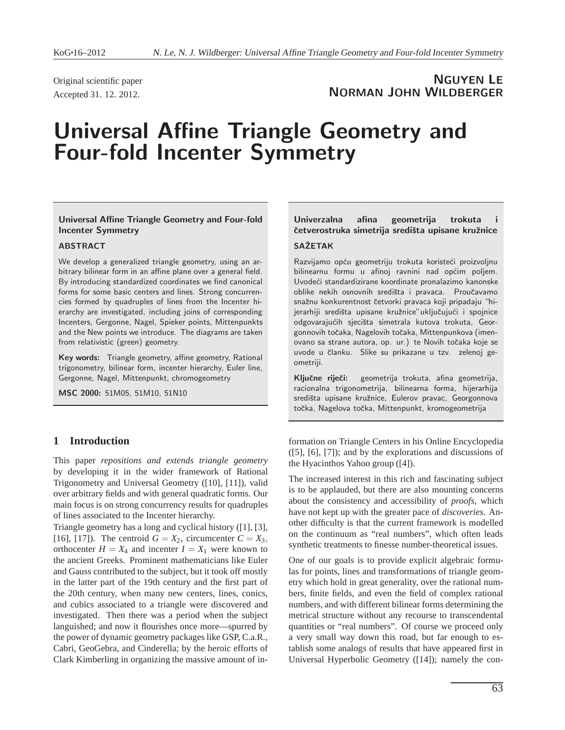Original scientific paper Accepted 31. 12. 2012.

# NGUYEN LE NORMAN JOHN WILDBERGER

# Universal Affine Triangle Geometry and Four-fold Incenter Symmetry

# Universal Affine Triangle Geometry and Four-fold Incenter Symmetry

# ABSTRACT

We develop a generalized triangle geometry, using an arbitrary bilinear form in an affine plane over a general field. By introducing standardized coordinates we find canonical forms for some basic centers and lines. Strong concurrencies formed by quadruples of lines from the Incenter hierarchy are investigated, including joins of corresponding Incenters, Gergonne, Nagel, Spieker points, Mittenpunkts and the New points we introduce. The diagrams are taken from relativistic (green) geometry.

Key words: Triangle geometry, affine geometry, Rational trigonometry, bilinear form, incenter hierarchy, Euler line, Gergonne, Nagel, Mittenpunkt, chromogeometry

MSC 2000: 51M05, 51M10, 51N10

# **1 Introduction**

This paper *repositions and extends triangle geometry* by developing it in the wider framework of Rational Trigonometry and Universal Geometry ([10], [11]), valid over arbitrary fields and with general quadratic forms. Our main focus is on strong concurrency results for quadruples of lines associated to the Incenter hierarchy.

Triangle geometry has a long and cyclical history ([1], [3], [16], [17]). The centroid  $G = X_2$ , circumcenter  $C = X_3$ , orthocenter  $H = X_4$  and incenter  $I = X_1$  were known to the ancient Greeks. Prominent mathematicians like Euler and Gauss contributed to the subject, but it took off mostly in the latter part of the 19th century and the first part of the 20th century, when many new centers, lines, conics, and cubics associated to a triangle were discovered and investigated. Then there was a period when the subject languished; and now it flourishes once more—spurred by the power of dynamic geometry packages like GSP, C.a.R., Cabri, GeoGebra, and Cinderella; by the heroic efforts of Clark Kimberling in organizing the massive amount of in-

# Univerzalna afina geometrija trokuta četverostruka simetrija središta upisane kružnice **SAŽETAK**

Razvijamo opću geometriju trokuta koristeći proizvoljnu bilinearnu formu u afinoj ravnini nad općim poljem. Uvodeći standardizirane koordinate pronalazimo kanonske oblike nekih osnovnih središta i pravaca. Proučavamo snažnu konkurentnost četvorki pravaca koji pripadaju "hijerarhiji središta upisane kružnice" uključujući i spojnice odgovarajućih sjecišta simetrala kutova trokuta, Georgonnovih točaka, Nagelovih točaka, Mittenpunkova (imenovano sa strane autora, op. ur.) te Novih toˇcaka koje se uvode u članku. Slike su prikazane u tzv. zelenoj geometriji.

Ključne riječi: geometrija trokuta, afina geometrija, racionalna trigonometrija, bilinearna forma, hijerarhija središta upisane kružnice, Eulerov pravac, Georgonnova točka, Nagelova točka, Mittenpunkt, kromogeometrija

formation on Triangle Centers in his Online Encyclopedia ([5], [6], [7]); and by the explorations and discussions of the Hyacinthos Yahoo group ([4]).

The increased interest in this rich and fascinating subject is to be applauded, but there are also mounting concerns about the consistency and accessibility of *proofs*, which have not kept up with the greater pace of *discoveries*. Another difficulty is that the current framework is modelled on the continuum as "real numbers", which often leads synthetic treatments to finesse number-theoretical issues.

One of our goals is to provide explicit algebraic formulas for points, lines and transformations of triangle geometry which hold in great generality, over the rational numbers, finite fields, and even the field of complex rational numbers, and with different bilinear forms determining the metrical structure without any recourse to transcendental quantities or "real numbers". Of course we proceed only a very small way down this road, but far enough to establish some analogs of results that have appeared first in Universal Hyperbolic Geometry ([14]); namely the con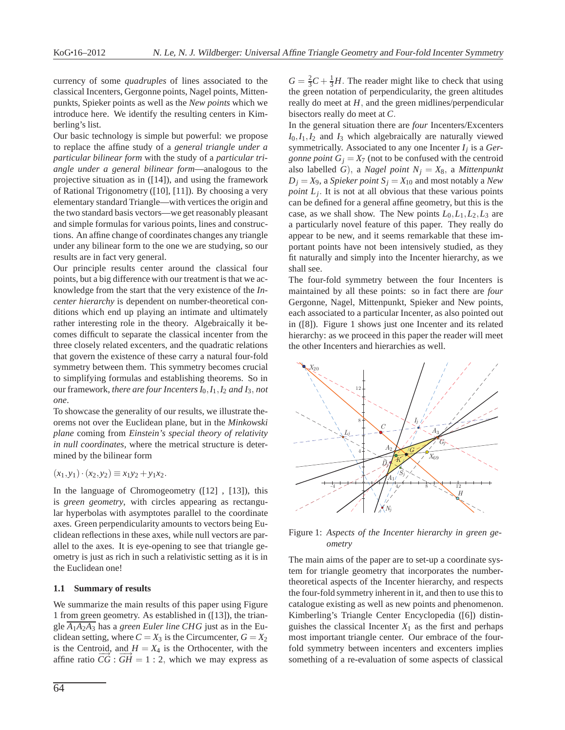currency of some *quadruples* of lines associated to the classical Incenters, Gergonne points, Nagel points, Mittenpunkts, Spieker points as well as the *New points* which we introduce here. We identify the resulting centers in Kimberling's list.

Our basic technology is simple but powerful: we propose to replace the affine study of a *general triangle under a particular bilinear form* with the study of a *particular triangle under a general bilinear form*—analogous to the projective situation as in ([14]), and using the framework of Rational Trigonometry ([10], [11]). By choosing a very elementary standard Triangle—with vertices the origin and the two standard basis vectors—we get reasonably pleasant and simple formulas for various points, lines and constructions. An affine change of coordinates changes any triangle under any bilinear form to the one we are studying, so our results are in fact very general.

Our principle results center around the classical four points, but a big difference with our treatment is that we acknowledge from the start that the very existence of the *Incenter hierarchy* is dependent on number-theoretical conditions which end up playing an intimate and ultimately rather interesting role in the theory. Algebraically it becomes difficult to separate the classical incenter from the three closely related excenters, and the quadratic relations that govern the existence of these carry a natural four-fold symmetry between them. This symmetry becomes crucial to simplifying formulas and establishing theorems. So in our framework, *there are four Incenters I*0,*I*1,*I*<sup>2</sup> *and I*3, *not one*.

To showcase the generality of our results, we illustrate theorems not over the Euclidean plane, but in the *Minkowski plane* coming from *Einstein's special theory of relativity in null coordinates,* where the metrical structure is determined by the bilinear form

# $(x_1, y_1) \cdot (x_2, y_2) \equiv x_1y_2 + y_1x_2.$

In the language of Chromogeometry ([12] , [13]), this is *green geometry*, with circles appearing as rectangular hyperbolas with asymptotes parallel to the coordinate axes. Green perpendicularity amounts to vectors being Euclidean reflections in these axes, while null vectors are parallel to the axes. It is eye-opening to see that triangle geometry is just as rich in such a relativistic setting as it is in the Euclidean one!

# **1.1 Summary of results**

We summarize the main results of this paper using Figure 1 from green geometry. As established in ([13]), the triangle  $\overline{A_1A_2A_3}$  has a *green Euler line CHG* just as in the Euclidean setting, where  $C = X_3$  is the Circumcenter,  $G = X_2$ is the Centroid, and  $H = X_4$  is the Orthocenter, with the affine ratio  $\overrightarrow{CG}$  :  $\overrightarrow{GH}$  = 1 : 2, which we may express as

 $G = \frac{2}{3}C + \frac{1}{3}H$ . The reader might like to check that using the green notation of perpendicularity, the green altitudes really do meet at *H*, and the green midlines/perpendicular bisectors really do meet at *C*.

In the general situation there are *four* Incenters/Excenters  $I_0$ , $I_1$ , $I_2$  and  $I_3$  which algebraically are naturally viewed symmetrically. Associated to any one Incenter *I<sup>j</sup>* is a *Gergonne point*  $G_i = X_7$  (not to be confused with the centroid also labelled *G*), a *Nagel point N<sup>j</sup>* = *X*8, a *Mittenpunkt*  $D_i = X_9$ , a *Spieker point*  $S_i = X_{10}$  and most notably a *New point L<sup>j</sup>* . It is not at all obvious that these various points can be defined for a general affine geometry, but this is the case, as we shall show. The New points  $L_0, L_1, L_2, L_3$  are a particularly novel feature of this paper. They really do appear to be new, and it seems remarkable that these important points have not been intensively studied, as they fit naturally and simply into the Incenter hierarchy, as we shall see.

The four-fold symmetry between the four Incenters is maintained by all these points: so in fact there are *four* Gergonne, Nagel, Mittenpunkt, Spieker and New points, each associated to a particular Incenter, as also pointed out in ([8]). Figure 1 shows just one Incenter and its related hierarchy: as we proceed in this paper the reader will meet the other Incenters and hierarchies as well.



Figure 1: *Aspects of the Incenter hierarchy in green geometry*

The main aims of the paper are to set-up a coordinate system for triangle geometry that incorporates the numbertheoretical aspects of the Incenter hierarchy, and respects the four-fold symmetry inherent in it, and then to use this to catalogue existing as well as new points and phenomenon. Kimberling's Triangle Center Encyclopedia ([6]) distinguishes the classical Incenter  $X_1$  as the first and perhaps most important triangle center. Our embrace of the fourfold symmetry between incenters and excenters implies something of a re-evaluation of some aspects of classical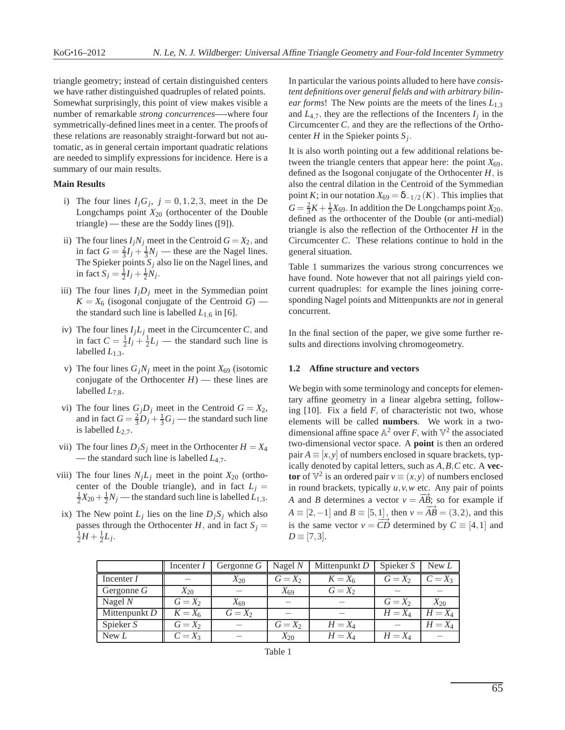triangle geometry; instead of certain distinguished centers we have rather distinguished quadruples of related points. Somewhat surprisingly, this point of view makes visible a number of remarkable *strong concurrences*—-where four symmetrically-defined lines meet in a center. The proofs of these relations are reasonably straight-forward but not automatic, as in general certain important quadratic relations are needed to simplify expressions for incidence. Here is a summary of our main results.

### **Main Results**

- i) The four lines  $I_j G_j$ ,  $j = 0, 1, 2, 3$ , meet in the De Longchamps point *X*<sup>20</sup> (orthocenter of the Double triangle) — these are the Soddy lines ([9]).
- ii) The four lines  $I_jN_j$  meet in the Centroid  $G = X_2$ , and in fact  $G = \frac{2}{3}I_j + \frac{1}{3}N_j$  — these are the Nagel lines. The Spieker points  $S_j$  also lie on the Nagel lines, and in fact  $S_j = \frac{1}{2}I_j + \frac{1}{2}N_j$ .
- iii) The four lines  $I_jD_j$  meet in the Symmedian point  $K = X_6$  (isogonal conjugate of the Centroid *G*) the standard such line is labelled  $L_{1,6}$  in [6].
- iv) The four lines  $I_jL_j$  meet in the Circumcenter *C*, and in fact  $C = \frac{1}{2}I_j + \frac{1}{2}L_j$  — the standard such line is labelled  $L_{1,3}$ .
- v) The four lines  $G_jN_j$  meet in the point  $X_{69}$  (isotomic conjugate of the Orthocenter  $H$ ) — these lines are labelled  $L_{7,8}$ .
- vi) The four lines  $G_j D_j$  meet in the Centroid  $G = X_2$ , and in fact  $G = \frac{2}{3}D_j + \frac{1}{3}G_j$  — the standard such line is labelled *L*2,7.
- vii) The four lines  $D_j S_j$  meet in the Orthocenter  $H = X_4$ — the standard such line is labelled *L*4,7.
- viii) The four lines  $N_jL_j$  meet in the point  $X_{20}$  (orthocenter of the Double triangle), and in fact  $L_j =$  $\frac{1}{2}X_{20} + \frac{1}{2}N_j$  — the standard such line is labelled  $\ddot{L}_{1,3}$ .
- ix) The New point  $L_j$  lies on the line  $D_j S_j$  which also passes through the Orthocenter *H*, and in fact  $S_j =$  $\frac{1}{2}H + \frac{1}{2}L_j$ .

In particular the various points alluded to here have *consistent definitions over general fields and with arbitrary bilinear forms*! The New points are the meets of the lines *L*1,<sup>3</sup> and  $L_{4,7}$ , they are the reflections of the Incenters  $I_j$  in the Circumcenter *C*, and they are the reflections of the Orthocenter *H* in the Spieker points *S<sup>j</sup>* .

It is also worth pointing out a few additional relations between the triangle centers that appear here: the point  $X_{69}$ , defined as the Isogonal conjugate of the Orthocenter *H*, is also the central dilation in the Centroid of the Symmedian point *K*; in our notation  $X_{69} = \delta_{-1/2}(K)$  . This implies that  $G = \frac{2}{3}K + \frac{1}{3}X_{69}$ . In addition the De Longchamps point  $X_{20}$ , defined as the orthocenter of the Double (or anti-medial) triangle is also the reflection of the Orthocenter *H* in the Circumcenter *C*. These relations continue to hold in the general situation.

Table 1 summarizes the various strong concurrences we have found. Note however that not all pairings yield concurrent quadruples: for example the lines joining corresponding Nagel points and Mittenpunkts are *not* in general concurrent.

In the final section of the paper, we give some further results and directions involving chromogeometry.

#### **1.2 Affine structure and vectors**

We begin with some terminology and concepts for elementary affine geometry in a linear algebra setting, following [10]. Fix a field *F*, of characteristic not two, whose elements will be called **numbers**. We work in a twodimensional affine space  $\mathbb{A}^2$  over *F*, with  $\mathbb{V}^2$  the associated two-dimensional vector space. A **point** is then an ordered pair  $A \equiv [x, y]$  of numbers enclosed in square brackets, typically denoted by capital letters, such as *A*,*B*,*C* etc. A **vector** of  $\mathbb{V}^2$  is an ordered pair  $v \equiv (x, y)$  of numbers enclosed in round brackets, typically *u*,*v*,*w* etc. Any pair of points *A* and *B* determines a vector  $v = \overrightarrow{AB}$ ; so for example if *A*  $\equiv$  [2,−1] and *B*  $\equiv$  [5,1], then *v* =  $\overrightarrow{AB}$  = (3,2), and this is the same vector  $v = CD$  determined by  $C = [4, 1]$  and  $D \equiv [7,3]$ .

|                 | Incenter I | Gergonne $G$ | Nagel $N$ | Mittenpunkt D | Spieker S | New L     |
|-----------------|------------|--------------|-----------|---------------|-----------|-----------|
| Incenter I      |            | $X_{20}$     | $G = X_2$ | $K = X_6$     | $G = X_2$ | $C=X_3$   |
| Gergonne $G$    | $X_{20}$   |              | $X_{69}$  | $G = X_2$     |           |           |
| Nagel $N$       | $G = X_2$  | $X_{69}$     |           |               | $G = X_2$ | $X_{20}$  |
| Mittenpunkt $D$ | $K = X_6$  | $G = X_2$    |           |               | $H = X_4$ | $H = X_4$ |
| Spieker S       | $G = X_2$  |              | $G = X_2$ | $H = X_4$     |           | $H = X_4$ |
| New $L$         | $C = X_3$  |              | $X_{20}$  | $H = X_4$     | $H = X_4$ |           |

Table 1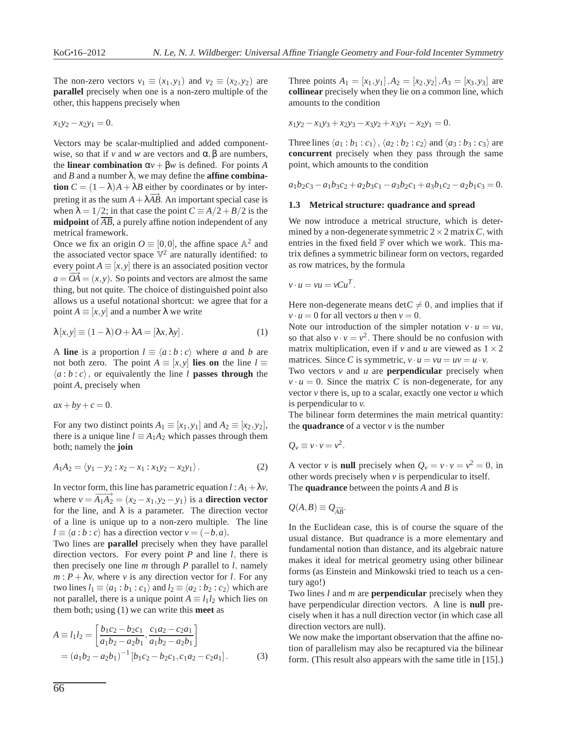The non-zero vectors  $v_1 \equiv (x_1, y_1)$  and  $v_2 \equiv (x_2, y_2)$  are **parallel** precisely when one is a non-zero multiple of the other, this happens precisely when

$$
x_1y_2 - x_2y_1 = 0.
$$

Vectors may be scalar-multiplied and added componentwise, so that if *v* and *w* are vectors and  $\alpha$ ,  $\beta$  are numbers, the **linear combination**  $\alpha v + \beta w$  is defined. For points *A* and *B* and a number  $\lambda$ , we may define the **affine combination**  $C = (1 - \lambda)A + \lambda B$  either by coordinates or by interpreting it as the sum  $A + \lambda \overrightarrow{AB}$ . An important special case is when  $\lambda = 1/2$ ; in that case the point  $C = A/2 + B/2$  is the **midpoint** of  $\overline{AB}$ , a purely affine notion independent of any metrical framework.

Once we fix an origin  $O \equiv [0,0]$ , the affine space  $\mathbb{A}^2$  and the associated vector space  $\mathbb{V}^2$  are naturally identified: to every point  $A \equiv [x, y]$  there is an associated position vector  $a = \overrightarrow{OA} = (x, y)$ . So points and vectors are almost the same thing, but not quite. The choice of distinguished point also allows us a useful notational shortcut: we agree that for a point  $A \equiv [x, y]$  and a number  $\lambda$  we write

$$
\lambda[x, y] \equiv (1 - \lambda) O + \lambda A = [\lambda x, \lambda y]. \tag{1}
$$

A **line** is a proportion  $l \equiv \langle a:b:c \rangle$  where *a* and *b* are not both zero. The point  $A \equiv [x, y]$  **lies on** the line  $l \equiv$  $\langle a:b:c \rangle$ , or equivalently the line *l* **passes through** the point *A*, precisely when

$$
ax + by + c = 0.
$$

For any two distinct points  $A_1 \equiv [x_1, y_1]$  and  $A_2 \equiv [x_2, y_2]$ , there is a unique line  $l \equiv A_1 A_2$  which passes through them both; namely the **join**

$$
A_1 A_2 = \langle y_1 - y_2 : x_2 - x_1 : x_1 y_2 - x_2 y_1 \rangle.
$$
 (2)

In vector form, this line has parametric equation  $l : A_1 + \lambda v$ , where  $v = \overrightarrow{A_1A_2} = (x_2 - x_1, y_2 - y_1)$  is a **direction vector** for the line, and  $\lambda$  is a parameter. The direction vector of a line is unique up to a non-zero multiple. The line  $l \equiv \langle a : b : c \rangle$  has a direction vector  $v = (-b, a)$ .

Two lines are **parallel** precisely when they have parallel direction vectors. For every point *P* and line *l*, there is then precisely one line *m* through *P* parallel to *l*, namely  $m: P + \lambda v$ , where *v* is any direction vector for *l*. For any two lines  $l_1 \equiv \langle a_1 : b_1 : c_1 \rangle$  and  $l_2 \equiv \langle a_2 : b_2 : c_2 \rangle$  which are not parallel, there is a unique point  $A \equiv l_1 l_2$  which lies on them both; using (1) we can write this **meet** as

$$
A \equiv l_1 l_2 = \left[ \frac{b_1 c_2 - b_2 c_1}{a_1 b_2 - a_2 b_1}, \frac{c_1 a_2 - c_2 a_1}{a_1 b_2 - a_2 b_1} \right]
$$
  
=  $(a_1 b_2 - a_2 b_1)^{-1} [b_1 c_2 - b_2 c_1, c_1 a_2 - c_2 a_1].$  (3)

Three points  $A_1 = [x_1, y_1], A_2 = [x_2, y_2], A_3 = [x_3, y_3]$  are **collinear** precisely when they lie on a common line, which amounts to the condition

$$
x_1y_2 - x_1y_3 + x_2y_3 - x_3y_2 + x_3y_1 - x_2y_1 = 0.
$$

Three lines  $\langle a_1 : b_1 : c_1 \rangle$ ,  $\langle a_2 : b_2 : c_2 \rangle$  and  $\langle a_3 : b_3 : c_3 \rangle$  are **concurrent** precisely when they pass through the same point, which amounts to the condition

 $a_1b_2c_3 - a_1b_3c_2 + a_2b_3c_1 - a_3b_2c_1 + a_3b_1c_2 - a_2b_1c_3 = 0.$ 

#### **1.3 Metrical structure: quadrance and spread**

We now introduce a metrical structure, which is determined by a non-degenerate symmetric  $2 \times 2$  matrix *C*, with entries in the fixed field  $\mathbb F$  over which we work. This matrix defines a symmetric bilinear form on vectors, regarded as row matrices, by the formula

$$
v \cdot u = vu = vCu^T.
$$

Here non-degenerate means  $\det C \neq 0$ , and implies that if  $v \cdot u = 0$  for all vectors *u* then  $v = 0$ .

Note our introduction of the simpler notation  $v \cdot u = vu$ , so that also  $v \cdot v = v^2$ . There should be no confusion with matrix multiplication, even if *v* and *u* are viewed as  $1 \times 2$ matrices. Since *C* is symmetric,  $v \cdot u = vu = uv = u \cdot v$ .

Two vectors *v* and *u* are **perpendicular** precisely when  $v \cdot u = 0$ . Since the matrix *C* is non-degenerate, for any vector *v* there is, up to a scalar, exactly one vector *u* which is perpendicular to *v*.

The bilinear form determines the main metrical quantity: the **quadrance** of a vector  $v$  is the number

$$
Q_{\nu} \equiv \nu \cdot \nu = \nu^2.
$$

A vector *v* is **null** precisely when  $Q_v = v \cdot v = v^2 = 0$ , in other words precisely when *v* is perpendicular to itself. The **quadrance** between the points *A* and *B* is

$$
Q(A,B) \equiv Q_{\overrightarrow{AB}}.
$$

In the Euclidean case, this is of course the square of the usual distance. But quadrance is a more elementary and fundamental notion than distance, and its algebraic nature makes it ideal for metrical geometry using other bilinear forms (as Einstein and Minkowski tried to teach us a century ago!)

Two lines *l* and *m* are **perpendicular** precisely when they have perpendicular direction vectors. A line is **null** precisely when it has a null direction vector (in which case all direction vectors are null).

We now make the important observation that the affine notion of parallelism may also be recaptured via the bilinear form. (This result also appears with the same title in [15].)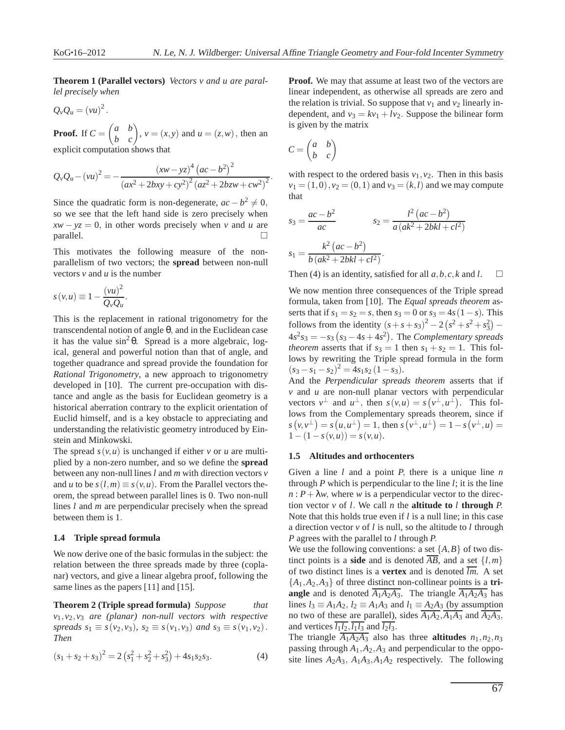**Theorem 1 (Parallel vectors)** *Vectors v and u are parallel precisely when*

$$
Q_{\nu}Q_{u}=(\nu u)^{2}.
$$

**Proof.** If  $C =$  $\begin{pmatrix} a & b \\ b & c \end{pmatrix}$ ,  $v = (x, y)$  and  $u = (z, w)$ , then an explicit computation shows that

 $Q_v Q_u - (vu)^2 = -\frac{(xw - yz)^4 (ac - b^2)^2}{(a^2 - b^2)^2}$  $\frac{(ax^2 + 2bxy + cy^2)^2 (az^2 + 2bzw + cw^2)^2}{(az^2 + 2bzw + cw^2)^2}.$ 

Since the quadratic form is non-degenerate,  $ac - b^2 \neq 0$ , so we see that the left hand side is zero precisely when  $xw - yz = 0$ , in other words precisely when *v* and *u* are  $parallel.$ 

This motivates the following measure of the nonparallelism of two vectors; the **spread** between non-null vectors *v* and *u* is the number

$$
s(v, u) \equiv 1 - \frac{(vu)^2}{Q_v Q_u}.
$$

This is the replacement in rational trigonometry for the transcendental notion of angle θ, and in the Euclidean case it has the value  $\sin^2 \theta$ . Spread is a more algebraic, logical, general and powerful notion than that of angle, and together quadrance and spread provide the foundation for *Rational Trigonometry*, a new approach to trigonometry developed in [10]. The current pre-occupation with distance and angle as the basis for Euclidean geometry is a historical aberration contrary to the explicit orientation of Euclid himself, and is a key obstacle to appreciating and understanding the relativistic geometry introduced by Einstein and Minkowski.

The spread  $s(v, u)$  is unchanged if either *v* or *u* are multiplied by a non-zero number, and so we define the **spread** between any non-null lines *l* and *m* with direction vectors *v* and *u* to be  $s(l,m) \equiv s(v,u)$ . From the Parallel vectors theorem, the spread between parallel lines is 0. Two non-null lines *l* and *m* are perpendicular precisely when the spread between them is 1.

# **1.4 Triple spread formula**

We now derive one of the basic formulas in the subject: the relation between the three spreads made by three (coplanar) vectors, and give a linear algebra proof, following the same lines as the papers [11] and [15].

**Theorem 2 (Triple spread formula)** *Suppose that v*1,*v*2,*v*<sup>3</sup> *are (planar) non-null vectors with respective spreads*  $s_1 \equiv s(v_2, v_3)$ *,*  $s_2 \equiv s(v_1, v_3)$  *and*  $s_3 \equiv s(v_1, v_2)$ *. Then*

$$
(s_1 + s_2 + s_3)^2 = 2\left(s_1^2 + s_2^2 + s_3^2\right) + 4s_1s_2s_3.
$$
 (4)

**Proof.** We may that assume at least two of the vectors are linear independent, as otherwise all spreads are zero and the relation is trivial. So suppose that  $v_1$  and  $v_2$  linearly independent, and  $v_3 = kv_1 + l v_2$ . Suppose the bilinear form is given by the matrix

$$
C = \begin{pmatrix} a & b \\ b & c \end{pmatrix}
$$

with respect to the ordered basis  $v_1, v_2$ . Then in this basis  $v_1 = (1,0)$ ,  $v_2 = (0,1)$  and  $v_3 = (k,l)$  and we may compute that

$$
s_3 = \frac{ac - b^2}{ac}
$$

$$
s_2 = \frac{l^2 (ac - b^2)}{a (ak^2 + 2bkl + cl^2)}
$$

$$
s_1 = \frac{k^2 (ac - b^2)}{b (ak^2 + 2bkl + cl^2)}.
$$

Then (4) is an identity, satisfied for all  $a, b, c, k$  and  $l$ .  $\square$ 

We now mention three consequences of the Triple spread formula, taken from [10]. The *Equal spreads theorem* asserts that if  $s_1 = s_2 = s$ , then  $s_3 = 0$  or  $s_3 = 4s(1-s)$ . This follows from the identity  $(s + s + s_3)^2 - 2(s^2 + s^2 + s_3^2)$  $4s^2s_3 = -s_3(s_3 - 4s + 4s^2)$ . The *Complementary spreads theorem* asserts that if  $s_3 = 1$  then  $s_1 + s_2 = 1$ . This follows by rewriting the Triple spread formula in the form  $(s_3 - s_1 - s_2)^2 = 4s_1s_2(1 - s_3).$ 

And the *Perpendicular spreads theorem* asserts that if *v* and *u* are non-null planar vectors with perpendicular vectors  $v^{\perp}$  and  $u^{\perp}$ , then  $s(v, u) = s(v^{\perp}, u^{\perp})$ . This follows from the Complementary spreads theorem, since if  $s(v, v^{\perp}) = s(u, u^{\perp}) = 1$ , then  $s(v^{\perp}, u^{\perp}) = 1 - s(v^{\perp}, u) = 1$  $1-(1-s(v,u)) = s(v,u).$ 

## **1.5 Altitudes and orthocenters**

Given a line *l* and a point *P*, there is a unique line *n* through *P* which is perpendicular to the line *l*; it is the line  $n$ :  $P + \lambda w$ , where *w* is a perpendicular vector to the direction vector *v* of *l*. We call *n* the **altitude to** *l* **through** *P*. Note that this holds true even if *l* is a null line; in this case a direction vector *v* of *l* is null, so the altitude to *l* through *P* agrees with the parallel to *l* through *P*.

We use the following conventions: a set  $\{A, B\}$  of two distinct points is a **side** and is denoted  $\overline{AB}$ , and a set  $\{l,m\}$ of two distinct lines is a **vertex** and is denoted  $\overline{lm}$ . A set  ${A_1, A_2, A_3}$  of three distinct non-collinear points is a **triangle** and is denoted  $\overline{A_1A_2A_3}$ . The triangle  $\overline{A_1A_2A_3}$  has lines  $l_3 \equiv A_1 A_2$ ,  $l_2 \equiv A_1 A_3$  and  $l_1 \equiv A_2 A_3$  (by assumption no two of these are parallel), sides  $\overline{A_1A_2}$ ,  $\overline{A_1A_3}$  and  $\overline{A_2A_3}$ , and vertices  $l_1l_2$ ,  $l_1l_3$  and  $l_2l_3$ .

The triangle  $\overline{A_1A_2A_3}$  also has three **altitudes**  $n_1, n_2, n_3$ passing through *A*1,*A*2,*A*<sup>3</sup> and perpendicular to the opposite lines  $A_2A_3$ ,  $A_1A_3$ ,  $A_1A_2$  respectively. The following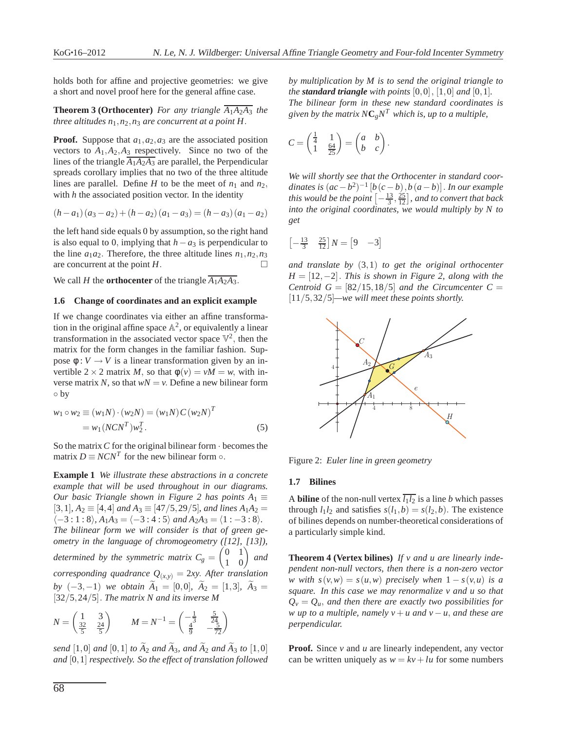holds both for affine and projective geometries: we give a short and novel proof here for the general affine case.

**Theorem 3 (Orthocenter)** For any triangle  $\overline{A_1A_2A_3}$  the *three altitudes n*1,*n*2,*n*<sup>3</sup> *are concurrent at a point H*.

**Proof.** Suppose that *a*1,*a*2,*a*<sup>3</sup> are the associated position vectors to  $A_1, A_2, A_3$  respectively. Since no two of the lines of the triangle  $\overline{A_1A_2A_3}$  are parallel, the Perpendicular spreads corollary implies that no two of the three altitude lines are parallel. Define *H* to be the meet of  $n_1$  and  $n_2$ , with *h* the associated position vector. In the identity

$$
(h-a_1)(a_3-a_2) + (h-a_2)(a_1-a_3) = (h-a_3)(a_1-a_2)
$$

the left hand side equals 0 by assumption, so the right hand is also equal to 0, implying that  $h - a_3$  is perpendicular to the line  $a_1a_2$ . Therefore, the three altitude lines  $n_1, n_2, n_3$ are concurrent at the point  $H$ .

We call *H* the **orthocenter** of the triangle  $\overline{A_1A_2A_3}$ .

#### **1.6 Change of coordinates and an explicit example**

If we change coordinates via either an affine transformation in the original affine space  $\mathbb{A}^2$ , or equivalently a linear transformation in the associated vector space  $\mathbb{V}^2$ , then the matrix for the form changes in the familiar fashion. Suppose  $\phi: V \to V$  is a linear transformation given by an invertible  $2 \times 2$  matrix *M*, so that  $\phi(v) = vM = w$ , with inverse matrix *N*, so that  $wN = v$ . Define a new bilinear form ◦ by

$$
w_1 \circ w_2 \equiv (w_1 N) \cdot (w_2 N) = (w_1 N) C (w_2 N)^T
$$
  
=  $w_1 (NCN^T) w_2^T$ . (5)

So the matrix*C* for the original bilinear form · becomes the matrix  $D \equiv NCN^T$  for the new bilinear form  $\circ$ .

**Example 1** *We illustrate these abstractions in a concrete example that will be used throughout in our diagrams. Our basic Triangle shown in Figure 2 has points*  $A_1 \equiv$  $[3,1]$ ,  $A_2 \equiv [4,4]$  *and*  $A_3 \equiv [47/5, 29/5]$ *, and lines*  $A_1A_2 =$  $\langle -3 : 1 : 8 \rangle$ ,  $A_1 A_3 = \langle -3 : 4 : 5 \rangle$  *and*  $A_2 A_3 = \langle 1 : -3 : 8 \rangle$ *. The bilinear form we will consider is that of green geometry in the language of chromogeometry ([12], [13]), determined by the symmetric matrix*  $C_g =$  $\begin{pmatrix} 0 & 1 \\ 1 & 0 \end{pmatrix}$  and *corresponding quadrance*  $Q_{(x,y)} = 2xy$ . *After translation by*  $(-3,-1)$  *we obtain*  $A_1 = [0,0]$ *,*  $A_2 = [1,3]$ *,*  $A_3 =$ [32/5,24/5]. *The matrix N and its inverse M*

$$
N = \begin{pmatrix} 1 & 3 \\ \frac{32}{5} & \frac{24}{5} \end{pmatrix} \qquad M = N^{-1} = \begin{pmatrix} -\frac{1}{3} & \frac{5}{24} \\ \frac{4}{9} & -\frac{5}{72} \end{pmatrix}
$$

*send*  $[1,0]$  *and*  $[0,1]$  *to*  $\widetilde{A}_2$  *and*  $\widetilde{A}_3$ *, and*  $\widetilde{A}_2$  *and*  $\widetilde{A}_3$  *to*  $[1,0]$ *and* [0,1] *respectively. So the effect of translation followed* *by multiplication by M is to send the original triangle to the standard triangle* with points  $[0,0]$ ,  $[1,0]$  *and*  $[0,1]$ *. The bilinear form in these new standard coordinates is given by the matrix*  $N\mathbf{C}_g N^T$  *which is, up to a multiple,* 

$$
C = \begin{pmatrix} \frac{1}{4} & 1 \\ 1 & \frac{64}{25} \end{pmatrix} = \begin{pmatrix} a & b \\ b & c \end{pmatrix}.
$$

*We will shortly see that the Orthocenter in standard coor* $d$ *inates is*  $(ac - b^2)^{-1}$   $[b(c - b), b(a - b)]$ . *In our example this would be the point*  $\left[-\frac{13}{3}, \frac{25}{12}\right]$ *, and to convert that back into the original coordinates, we would multiply by N to get*

$$
\begin{bmatrix} -\frac{13}{3} & \frac{25}{12} \end{bmatrix} N = \begin{bmatrix} 9 & -3 \end{bmatrix}
$$

*and translate by* (3,1) *to get the original orthocenter H* = [12,−2]. *This is shown in Figure 2, along with the Centroid*  $G = \left[\frac{82}{15}, \frac{18}{5}\right]$  *and the Circumcenter C =* [11/5,32/5]*—we will meet these points shortly.*



Figure 2: *Euler line in green geometry*

#### **1.7 Bilines**

A **biline** of the non-null vertex  $\overline{l_1 l_2}$  is a line *b* which passes through  $l_1 l_2$  and satisfies  $s(l_1, b) = s(l_2, b)$ . The existence of bilines depends on number-theoretical considerations of a particularly simple kind.

**Theorem 4 (Vertex bilines)** *If v and u are linearly independent non-null vectors, then there is a non-zero vector w* with  $s(v, w) = s(u, w)$  precisely when  $1 - s(v, u)$  is a *square. In this case we may renormalize v and u so that*  $Q_v = Q_u$ , and then there are exactly two possibilities for *w* up to a multiple, namely  $v + u$  and  $v - u$ , and these are *perpendicular.*

**Proof.** Since *v* and *u* are linearly independent, any vector can be written uniquely as  $w = kv + lu$  for some numbers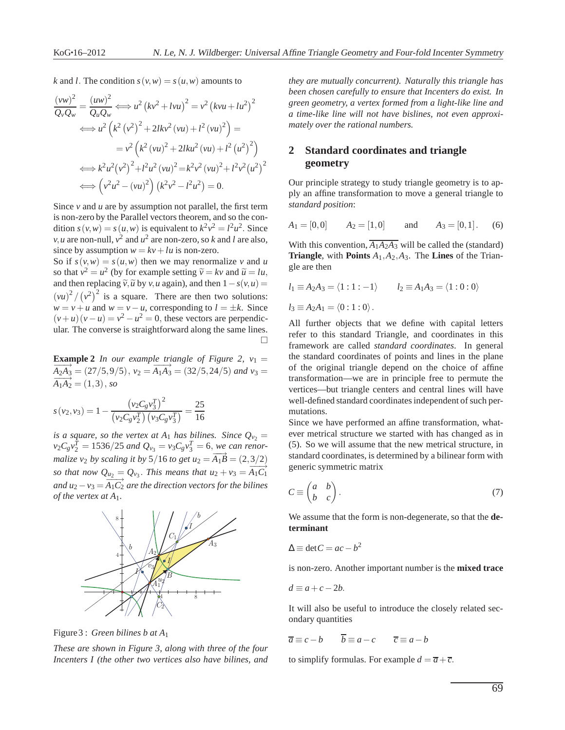*k* and *l*. The condition  $s(v, w) = s(u, w)$  amounts to

$$
\frac{(vw)^2}{Q_vQ_w} = \frac{(uw)^2}{Q_uQ_w} \Longleftrightarrow u^2 (kv^2 + lvu)^2 = v^2 (kvu + lu^2)^2
$$
  

$$
\Longleftrightarrow u^2 (k^2 (v^2)^2 + 2lkv^2 (vu) + l^2 (vu)^2) =
$$
  

$$
= v^2 (k^2 (vu)^2 + 2lku^2 (vu) + l^2 (u^2)^2)
$$
  

$$
\Longleftrightarrow k^2 u^2 (v^2)^2 + l^2 u^2 (vu)^2 = k^2 v^2 (vu)^2 + l^2 v^2 (u^2)^2
$$
  

$$
\Longleftrightarrow (v^2 u^2 - (vu)^2) (k^2 v^2 - l^2 u^2) = 0.
$$

Since *v* and *u* are by assumption not parallel, the first term is non-zero by the Parallel vectors theorem, and so the condition  $s(v, w) = s(u, w)$  is equivalent to  $k^2v^2 = l^2u^2$ . Since *v*, *u* are non-null,  $v^2$  and  $u^2$  are non-zero, so *k* and *l* are also, since by assumption  $w = kv + lu$  is non-zero.

So if  $s(v, w) = s(u, w)$  then we may renormalize *v* and *u* so that  $v^2 = u^2$  (by for example setting  $\tilde{v} = kv$  and  $\tilde{u} = lu$ , and then replacing  $\tilde{v}$ ,  $\tilde{u}$  by  $v$ , *u* again), and then  $1 - s(v, u) =$  $(vu)^2 / (v^2)^2$  is a square. There are then two solutions:  $w = v + u$  and  $w = v - u$ , corresponding to  $l = \pm k$ . Since  $(v+u)(v-u) = v^2 - u^2 = 0$ , these vectors are perpendicular. The converse is straightforward along the same lines.  $\Box$ 

**Example 2** *In our example triangle of Figure 2,*  $v_1$  $\frac{24A}{42A_3} = (27/5, 9/5), v_2 = A_1A_3 = (32/5, 24/5)$  *and*  $v_3 =$  $A_1A_2 = (1,3), so$ 

$$
s(v_2, v_3) = 1 - \frac{(v_2 C_g v_3^T)^2}{(v_2 C_g v_2^T) (v_3 C_g v_3^T)} = \frac{25}{16}
$$

*is a square, so the vertex at A*<sub>1</sub> *has bilines. Since*  $Q_{v_2} =$  $v_2 C_g v_2^T = 1536/25$  *and*  $Q_{v_3} = v_3 C_g v_3^T = 6$ , *we can renormalize v*<sub>2</sub> *by scaling it by*  $5/16$  *to get u*<sub>2</sub> =  $\overrightarrow{A_1B}$  = (2,3/2) so that now  $Q_{u_2} = Q_{v_3}$ . This means that  $u_2 + v_3 = A_1 C_1$ *and*  $u_2 - v_3 = A_1C_2$  *are the direction vectors for the bilines of the vertex at A*1*.*



Figure3 : *Green bilines b at A*<sup>1</sup>

*These are shown in Figure 3, along with three of the four Incenters I (the other two vertices also have bilines, and* *they are mutually concurrent). Naturally this triangle has been chosen carefully to ensure that Incenters do exist. In green geometry, a vertex formed from a light-like line and a time-like line will not have bislines, not even approximately over the rational numbers.*

# **2 Standard coordinates and triangle geometry**

Our principle strategy to study triangle geometry is to apply an affine transformation to move a general triangle to *standard position*:

$$
A_1 = [0,0]
$$
  $A_2 = [1,0]$  and  $A_3 = [0,1]$ . (6)

With this convention,  $\overline{A_1A_2A_3}$  will be called the (standard) **Triangle**, with **Points** *A*1,*A*2,*A*3. The **Lines** of the Triangle are then

$$
l_1 \equiv A_2 A_3 = \langle 1 : 1 : -1 \rangle
$$
  $l_2 \equiv A_1 A_3 = \langle 1 : 0 : 0 \rangle$   
 $l_3 \equiv A_2 A_1 = \langle 0 : 1 : 0 \rangle$ .

All further objects that we define with capital letters refer to this standard Triangle, and coordinates in this framework are called *standard coordinates*. In general the standard coordinates of points and lines in the plane of the original triangle depend on the choice of affine transformation—we are in principle free to permute the vertices—but triangle centers and central lines will have well-defined standard coordinates independent of such permutations.

Since we have performed an affine transformation, whatever metrical structure we started with has changed as in (5). So we will assume that the new metrical structure, in standard coordinates, is determined by a bilinear form with generic symmetric matrix

$$
C \equiv \begin{pmatrix} a & b \\ b & c \end{pmatrix} . \tag{7}
$$

We assume that the form is non-degenerate, so that the **determinant**

$$
\Delta \equiv \det C = ac - b^2
$$

is non-zero. Another important number is the **mixed trace**

$$
d \equiv a + c - 2b.
$$

It will also be useful to introduce the closely related secondary quantities

$$
\overline{a} \equiv c - b \qquad \overline{b} \equiv a - c \qquad \overline{c} \equiv a - b
$$

to simplify formulas. For example  $d = \overline{a} + \overline{c}$ .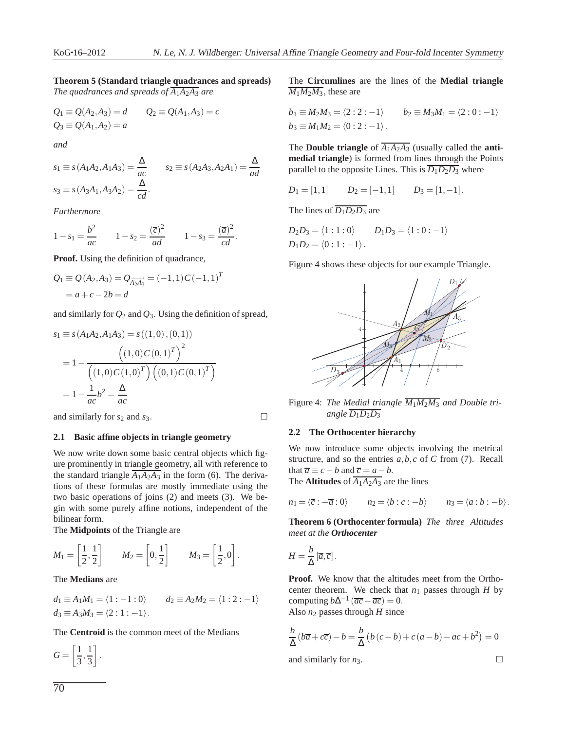# **Theorem 5 (Standard triangle quadrances and spreads)** *The quadrances and spreads of*  $\overline{A_1A_2A_3}$  *are*

$$
Q_1 \equiv Q(A_2, A_3) = d
$$
  $Q_2 \equiv Q(A_1, A_3) = c$   
\n $Q_3 \equiv Q(A_1, A_2) = a$ 

*and*

$$
s_1 \equiv s(A_1A_2, A_1A_3) = \frac{\Delta}{ac}
$$
  $s_2 \equiv s(A_2A_3, A_2A_1) = \frac{\Delta}{ad}$   
 $s_3 \equiv s(A_3A_1, A_3A_2) = \frac{\Delta}{cd}$ .

*Furthermore*

$$
1 - s_1 = \frac{b^2}{ac} \qquad 1 - s_2 = \frac{(\overline{c})^2}{ad} \qquad 1 - s_3 = \frac{(\overline{a})^2}{cd}.
$$

**Proof.** Using the definition of quadrance,

$$
Q_1 \equiv Q(A_2, A_3) = Q_{\overrightarrow{A_2 A_3}} = (-1, 1) C(-1, 1)^T
$$
  
=  $a + c - 2b = d$ 

and similarly for *Q*<sup>2</sup> and *Q*3. Using the definition of spread,

$$
s_1 \equiv s(A_1A_2, A_1A_3) = s((1,0), (0,1))
$$
  
=  $1 - \frac{((1,0)C(0,1)^T)^2}{((1,0)C(1,0)^T)((0,1)C(0,1)^T)}$   
=  $1 - \frac{1}{ac}b^2 = \frac{\Delta}{ac}$ 

and similarly for  $s_2$  and  $s_3$ .

# **2.1 Basic affine objects in triangle geometry**

We now write down some basic central objects which figure prominently in triangle geometry, all with reference to the standard triangle  $\overline{A_1A_2A_3}$  in the form (6). The derivations of these formulas are mostly immediate using the two basic operations of joins (2) and meets (3). We begin with some purely affine notions, independent of the bilinear form.

The **Midpoints** of the Triangle are

$$
M_1 = \left[\frac{1}{2}, \frac{1}{2}\right] \qquad M_2 = \left[0, \frac{1}{2}\right] \qquad M_3 = \left[\frac{1}{2}, 0\right].
$$

The **Medians** are

$$
d_1 \equiv A_1 M_1 = \langle 1 : -1 : 0 \rangle \qquad d_2 \equiv A_2 M_2 = \langle 1 : 2 : -1 \rangle
$$
  

$$
d_3 \equiv A_3 M_3 = \langle 2 : 1 : -1 \rangle.
$$

The **Centroid** is the common meet of the Medians

 $G =$  $\lceil 1 \rceil$  $\frac{1}{3}, \frac{1}{3}$ 3 1

.

The **Circumlines** are the lines of the **Medial triangle**  $\overline{M_1M_2M_3}$ , these are

$$
b_1 \equiv M_2 M_3 = \langle 2:2:-1 \rangle \qquad b_2 \equiv M_3 M_1 = \langle 2:0:-1 \rangle
$$
  
\n
$$
b_3 \equiv M_1 M_2 = \langle 0:2:-1 \rangle.
$$

The **Double triangle** of  $\overline{A_1A_2A_3}$  (usually called the **antimedial triangle**) is formed from lines through the Points parallel to the opposite Lines. This is  $\overline{D_1D_2D_3}$  where

$$
D_1 = [1,1] \qquad D_2 = [-1,1] \qquad D_3 = [1,-1].
$$

The lines of  $\overline{D_1D_2D_3}$  are

$$
D_2D_3 = \langle 1:1:0 \rangle \qquad D_1D_3 = \langle 1:0:-1 \rangle
$$
  
 
$$
D_1D_2 = \langle 0:1:-1 \rangle.
$$

Figure 4 shows these objects for our example Triangle.



Figure 4: *The Medial triangle M*1*M*2*M*<sup>3</sup> *and Double triangle*  $\overline{D_1D_2D_3}$ 

#### **2.2 The Orthocenter hierarchy**

We now introduce some objects involving the metrical structure, and so the entries *a*,*b*,*c* of *C* from (7). Recall that  $\overline{a} \equiv c - b$  and  $\overline{c} = a - b$ . The **Altitudes** of  $\overline{A_1A_2A_3}$  are the lines

$$
n_1 = \langle \overline{c} : -\overline{a} : 0 \rangle \qquad n_2 = \langle b : c : -b \rangle \qquad n_3 = \langle a : b : -b \rangle.
$$

**Theorem 6 (Orthocenter formula)** *The three Altitudes meet at the Orthocenter*

$$
H=\frac{b}{\Delta}\left[\overline{a},\overline{c}\right].
$$

**Proof.** We know that the altitudes meet from the Orthocenter theorem. We check that  $n_1$  passes through  $H$  by computing  $b\Delta^{-1}(\overline{ac} - \overline{ac}) = 0$ . Also *n*<sup>2</sup> passes through *H* since

$$
\frac{b}{\Delta} (b\overline{a} + c\overline{c}) - b = \frac{b}{\Delta} (b(c - b) + c(a - b) - ac + b^2) = 0
$$

and similarly for  $n_3$ .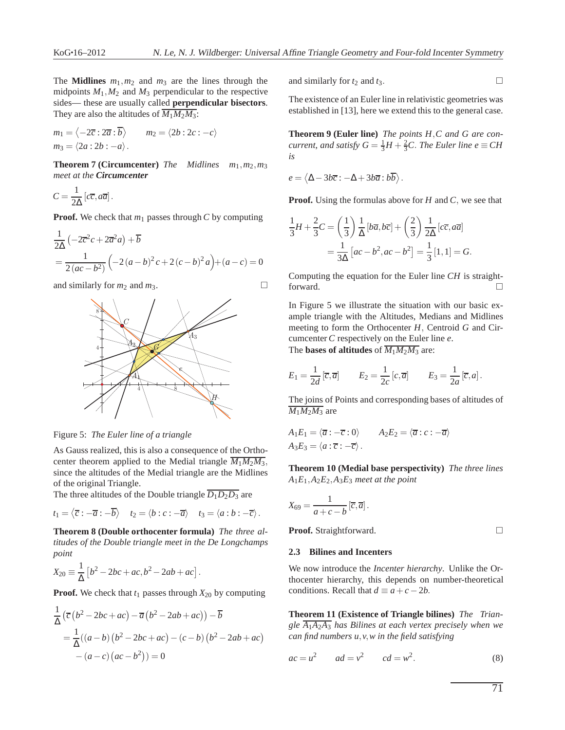The **Midlines**  $m_1, m_2$  and  $m_3$  are the lines through the midpoints  $M_1, M_2$  and  $M_3$  perpendicular to the respective sides— these are usually called **perpendicular bisectors**. They are also the altitudes of  $\overline{M_1M_2M_3}$ :

$$
m_1 = \langle -2\overline{c} : 2\overline{a} : \overline{b} \rangle \qquad m_2 = \langle 2b : 2c : -c \rangle
$$
  

$$
m_3 = \langle 2a : 2b : -a \rangle.
$$

**Theorem 7 (Circumcenter)** *The Midlines m*1,*m*2,*m*<sup>3</sup> *meet at the Circumcenter*

$$
C = \frac{1}{2\Delta} \left[ c\overline{c}, a\overline{a} \right].
$$

**Proof.** We check that  $m_1$  passes through  $C$  by computing

$$
\frac{1}{2\Delta} \left( -2\overline{c}^2 c + 2\overline{a}^2 a \right) + \overline{b}
$$
  
=  $\frac{1}{2(ac - b^2)} \left( -2(a - b)^2 c + 2(c - b)^2 a \right) + (a - c) = 0$ 

and similarly for  $m_2$  and  $m_3$ .



Figure 5: *The Euler line of a triangle*

As Gauss realized, this is also a consequence of the Orthocenter theorem applied to the Medial triangle  $\overline{M_1M_2M_3}$ , since the altitudes of the Medial triangle are the Midlines of the original Triangle.

The three altitudes of the Double triangle  $\overline{D_1D_2D_3}$  are

$$
t_1 = \langle \overline{c} : -\overline{a} : -\overline{b} \rangle
$$
  $t_2 = \langle b : c : -\overline{a} \rangle$   $t_3 = \langle a : b : -\overline{c} \rangle$ .

**Theorem 8 (Double orthocenter formula)** *The three altitudes of the Double triangle meet in the De Longchamps point*

$$
X_{20} \equiv \frac{1}{\Delta} \left[ b^2 - 2bc + ac, b^2 - 2ab + ac \right].
$$

**Proof.** We check that  $t_1$  passes through  $X_{20}$  by computing

$$
\frac{1}{\Delta} \left( \overline{c} \left( b^2 - 2bc + ac \right) - \overline{a} \left( b^2 - 2ab + ac \right) \right) - \overline{b}
$$

$$
= \frac{1}{\Delta} ((a - b) \left( b^2 - 2bc + ac \right) - (c - b) \left( b^2 - 2ab + ac \right)
$$

$$
- (a - c) \left( ac - b^2 \right) = 0
$$

and similarly for  $t_2$  and  $t_3$ .

The existence of an Euler line in relativistic geometries was established in [13], here we extend this to the general case.

**Theorem 9 (Euler line)** *The points H*,*C and G are concurrent, and satisfy*  $G = \frac{1}{3}H + \frac{2}{3}C$ *. The Euler line e*  $\equiv$  *CH is*

$$
e = \langle \Delta - 3b\overline{c} : -\Delta + 3b\overline{a} : b\overline{b} \rangle.
$$

**Proof.** Using the formulas above for *H* and *C*, we see that

$$
\frac{1}{3}H + \frac{2}{3}C = \left(\frac{1}{3}\right)\frac{1}{\Delta}[b\overline{a}, b\overline{c}] + \left(\frac{2}{3}\right)\frac{1}{2\Delta}[c\overline{c}, a\overline{a}]
$$

$$
= \frac{1}{3\Delta}[ac - b^2, ac - b^2] = \frac{1}{3}[1, 1] = G.
$$

Computing the equation for the Euler line *CH* is straightforward.

In Figure 5 we illustrate the situation with our basic example triangle with the Altitudes, Medians and Midlines meeting to form the Orthocenter *H*, Centroid *G* and Circumcenter *C* respectively on the Euler line *e*. The **bases of altitudes** of  $\overline{M_1M_2M_2}$  are:

The bases of 
$$
M_1M_2M_3
$$
 are:

$$
E_1 = \frac{1}{2d} \left[ \overline{c}, \overline{a} \right] \qquad E_2 = \frac{1}{2c} \left[ c, \overline{a} \right] \qquad E_3 = \frac{1}{2a} \left[ \overline{c}, a \right].
$$

The joins of Points and corresponding bases of altitudes of  $M_1M_2M_3$  are

$$
A_1E_1 = \langle \overline{a} : -\overline{c} : 0 \rangle \qquad A_2E_2 = \langle \overline{a} : c : -\overline{a} \rangle
$$
  

$$
A_3E_3 = \langle a : \overline{c} : -\overline{c} \rangle.
$$

**Theorem 10 (Medial base perspectivity)** *The three lines A*1*E*1,*A*2*E*2,*A*3*E*<sup>3</sup> *meet at the point*

$$
X_{69} = \frac{1}{a+c-b} \left[\overline{c}, \overline{a}\right].
$$

**Proof.** Straightforward. □

## **2.3 Bilines and Incenters**

We now introduce the *Incenter hierarchy*. Unlike the Orthocenter hierarchy, this depends on number-theoretical conditions. Recall that  $d \equiv a + c - 2b$ .

**Theorem 11 (Existence of Triangle bilines)** *The Triangle A*1*A*2*A*<sup>3</sup> *has Bilines at each vertex precisely when we can find numbers u*,*v*,*w in the field satisfying*

$$
ac = u^2 \qquad ad = v^2 \qquad cd = w^2. \tag{8}
$$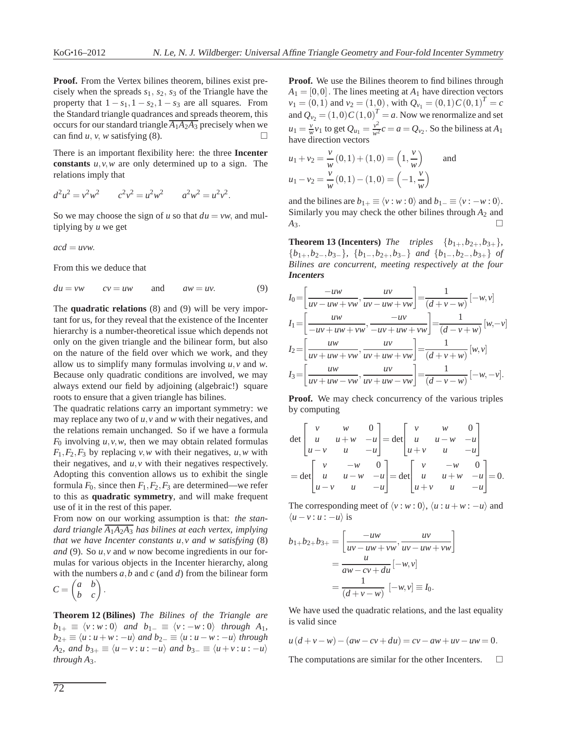**Proof.** From the Vertex bilines theorem, bilines exist precisely when the spreads *s*1, *s*2, *s*<sup>3</sup> of the Triangle have the property that  $1 - s_1$ ,  $1 - s_2$ ,  $1 - s_3$  are all squares. From the Standard triangle quadrances and spreads theorem, this occurs for our standard triangle  $\overline{A_1A_2A_3}$  precisely when we can find *u*, *v*, *w* satisfying (8).

There is an important flexibility here: the three **Incenter constants** *u*,*v*,*w* are only determined up to a sign. The relations imply that

$$
d^2u^2 = v^2w^2 \t c^2v^2 = u^2w^2 \t a^2w^2 = u^2v^2.
$$

So we may choose the sign of *u* so that  $du = vw$ , and multiplying by *u* we get

$$
acd = uvw.
$$

From this we deduce that

 $du = vw$   $cv = uw$  and  $aw = uv$ . (9)

The **quadratic relations** (8) and (9) will be very important for us, for they reveal that the existence of the Incenter hierarchy is a number-theoretical issue which depends not only on the given triangle and the bilinear form, but also on the nature of the field over which we work, and they allow us to simplify many formulas involving *u*,*v* and *w*. Because only quadratic conditions are involved, we may always extend our field by adjoining (algebraic!) square roots to ensure that a given triangle has bilines.

The quadratic relations carry an important symmetry: we may replace any two of *u*,*v* and *w* with their negatives, and the relations remain unchanged. So if we have a formula  $F_0$  involving  $u, v, w$ , then we may obtain related formulas  $F_1, F_2, F_3$  by replacing *v*,*w* with their negatives, *u*,*w* with their negatives, and *u*,*v* with their negatives respectively. Adopting this convention allows us to exhibit the single formula  $F_0$ , since then  $F_1, F_2, F_3$  are determined—we refer to this as **quadratic symmetry**, and will make frequent use of it in the rest of this paper.

From now on our working assumption is that: *the standard triangle A*1*A*2*A*<sup>3</sup> *has bilines at each vertex, implying that we have Incenter constants u*,*v and w satisfying* (8) *and* (9). So *u*,*v* and *w* now become ingredients in our formulas for various objects in the Incenter hierarchy, along with the numbers *a*,*b* and *c* (and *d*) from the bilinear form

$$
C = \begin{pmatrix} a & b \\ b & c \end{pmatrix}
$$

.

**Theorem 12 (Bilines)** *The Bilines of the Triangle are*  $b_{1+} \equiv \langle v : w : 0 \rangle$  *and*  $b_{1-} \equiv \langle v : -w : 0 \rangle$  *through*  $A_1$ *,*  $b_{2+} \equiv \langle u : u + w : -u \rangle$  *and*  $b_{2-} \equiv \langle u : u - w : -u \rangle$  *through A*<sub>2</sub>*,* and  $b_{3+} \equiv \langle u-v : u : -u \rangle$  and  $b_{3-} \equiv \langle u+v : u : -u \rangle$ *through A*3.

**Proof.** We use the Bilines theorem to find bilines through  $A_1 = [0,0]$ . The lines meeting at  $A_1$  have direction vectors  $v_1 = (0,1)$  and  $v_2 = (1,0)$ , with  $Q_{v_1} = (0,1)C(0,1)^T = c$ and  $Q_{v_2} = (1,0)C(1,0)^T = a$ . Now we renormalize and set  $u_1 = \frac{v}{w}v_1$  to get  $Q_{u_1} = \frac{v^2}{w^2}c = a = Q_{v_2}$ . So the biliness at  $A_1$ have direction vectors

$$
u_1 + v_2 = \frac{v}{w}(0, 1) + (1, 0) = \left(1, \frac{v}{w}\right) \text{ and}
$$
  

$$
u_1 - v_2 = \frac{v}{w}(0, 1) - (1, 0) = \left(-1, \frac{v}{w}\right)
$$

and the bilines are  $b_{1+} \equiv \langle v : w : 0 \rangle$  and  $b_{1-} \equiv \langle v : -w : 0 \rangle$ . Similarly you may check the other bilines through *A*<sup>2</sup> and  $A_3$ .

**Theorem 13 (Incenters)** *The triples*  $\{b_{1+}, b_{2+}, b_{3+}\}$ *,* {*b*1+,*b*2−,*b*3−}*,* {*b*1−,*b*2+,*b*3−} *and* {*b*1−,*b*2−,*b*3+} *of Bilines are concurrent, meeting respectively at the four Incenters*

$$
I_0 = \left[ \frac{-uw}{uv - uw + vw}, \frac{uv}{uv - uw + vw} \right] = \frac{1}{(d + v - w)} [-w, v]
$$
  
\n
$$
I_1 = \left[ \frac{uw}{-uv + uw + vw}, \frac{-uv}{-uv + uw + vw} \right] = \frac{1}{(d - v + w)} [w, -v]
$$
  
\n
$$
I_2 = \left[ \frac{uw}{uv + uw + vw}, \frac{uv}{uv + uw + vw} \right] = \frac{1}{(d + v + w)} [w, v]
$$
  
\n
$$
I_3 = \left[ \frac{uw}{uv + uw - vw}, \frac{uv}{uv + uw - vw} \right] = \frac{1}{(d - v - w)} [-w, -v].
$$

**Proof.** We may check concurrency of the various triples by computing

$$
\det \begin{bmatrix} v & w & 0 \\ u & u+w & -u \\ u-v & u & -u \end{bmatrix} = \det \begin{bmatrix} v & w & 0 \\ u & u-w & -u \\ u+v & u & -u \end{bmatrix}
$$

$$
= \det \begin{bmatrix} v & -w & 0 \\ u & u-w & -u \\ u-v & u & -u \end{bmatrix} = \det \begin{bmatrix} v & -w & 0 \\ u & u+w & -u \\ u+v & u & -u \end{bmatrix} = 0.
$$

The corresponding meet of  $\langle v : w : 0 \rangle$ ,  $\langle u : u + w : -u \rangle$  and  $\langle u - v : u : -u \rangle$  is

$$
b_{1+}b_{2+}b_{3+} = \left[\frac{-uw}{uv - uw + vw}, \frac{uv}{uv - uw + vw}\right]
$$

$$
= \frac{u}{aw - cv + du}[-w, v]
$$

$$
= \frac{1}{(d+v-w)}[-w, v] = I_0.
$$

We have used the quadratic relations, and the last equality is valid since

$$
u(d + v - w) - (aw - cv + du) = cv - aw + uv - uw = 0.
$$

The computations are similar for the other Incenters.  $\Box$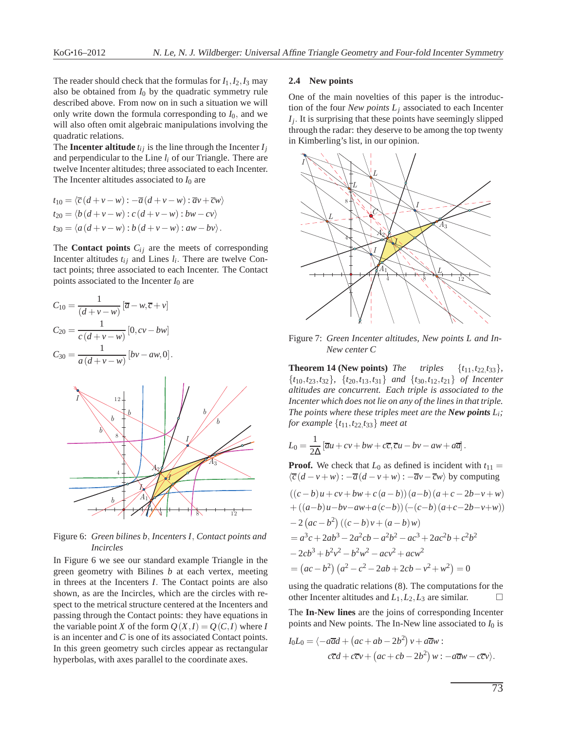The reader should check that the formulas for  $I_1$ ,  $I_2$ ,  $I_3$  may also be obtained from  $I_0$  by the quadratic symmetry rule described above. From now on in such a situation we will only write down the formula corresponding to  $I_0$ , and we will also often omit algebraic manipulations involving the quadratic relations.

The **Incenter altitude**  $t_{ij}$  is the line through the Incenter  $I_j$ and perpendicular to the Line *l<sup>i</sup>* of our Triangle. There are twelve Incenter altitudes; three associated to each Incenter. The Incenter altitudes associated to  $I_0$  are

$$
t_{10} = \langle \overline{c} (d + v - w) : -\overline{a} (d + v - w) : \overline{a} v + \overline{c} w \rangle
$$
  
\n
$$
t_{20} = \langle b (d + v - w) : c (d + v - w) : b w - c v \rangle
$$
  
\n
$$
t_{30} = \langle a (d + v - w) : b (d + v - w) : aw - b v \rangle.
$$

The **Contact points**  $C_{ij}$  are the meets of corresponding Incenter altitudes  $t_{ij}$  and Lines  $l_i$ . There are twelve Contact points; three associated to each Incenter. The Contact points associated to the Incenter *I*<sup>0</sup> are

$$
C_{10} = \frac{1}{(d+v-w)} [\overline{a} - w, \overline{c} + v]
$$
  
\n
$$
C_{20} = \frac{1}{c (d+v-w)} [0, cv-bw]
$$
  
\n
$$
C_{30} = \frac{1}{a (d+v-w)} [bv - aw, 0].
$$



Figure 6: *Green bilines b*, *Incenters I*, *Contact points and Incircles*

In Figure 6 we see our standard example Triangle in the green geometry with Bilines *b* at each vertex, meeting in threes at the Incenters *I*. The Contact points are also shown, as are the Incircles, which are the circles with respect to the metrical structure centered at the Incenters and passing through the Contact points: they have equations in the variable point *X* of the form  $Q(X, I) = Q(C, I)$  where *I* is an incenter and *C* is one of its associated Contact points. In this green geometry such circles appear as rectangular hyperbolas, with axes parallel to the coordinate axes.

## **2.4 New points**

One of the main novelties of this paper is the introduction of the four *New points*  $L_i$  associated to each Incenter *Ij* . It is surprising that these points have seemingly slipped through the radar: they deserve to be among the top twenty in Kimberling's list, in our opinion.



Figure 7: *Green Incenter altitudes, New points L and In-New center C*

**Theorem 14 (New points)** *The triples*  $\{t_{11}, t_{22}, t_{33}\},\$ {*t*10,*t*23,*t*32}*,* {*t*20,*t*13,*t*31} *and* {*t*30,*t*12,*t*21} *of Incenter altitudes are concurrent. Each triple is associated to the Incenter which does not lie on any of the lines in that triple. The points where these triples meet are the New points Li; for example* {*t*11,*t*22, *t*33} *meet at*

$$
L_0 = \frac{1}{2\Delta} \left[ \overline{a}u + cv + bw + c\overline{c}, \overline{c}u - bv - aw + a\overline{a} \right].
$$

**Proof.** We check that  $L_0$  as defined is incident with  $t_{11} =$  $\langle \overline{c}(d - v + w) : -\overline{a}(d - v + w) : -\overline{a}v - \overline{c}w \rangle$  by computing

$$
((c - b)u + cv + bw + c(a - b))(a - b)(a + c - 2b - v + w)
$$
  
+ 
$$
((a - b)u - bv - aw + a(c - b))(-(c - b)(a + c - 2b - v + w))
$$
  
- 
$$
2 (ac - b2) ((c - b)v + (a - b)w)
$$
  
= 
$$
a3c + 2ab3 - 2a2cb - a2b2 - ac3 + 2ac2b + c2b2
$$
  
- 
$$
2cb3 + b2v2 - b2w2 - acv2 + acw2
$$
  
= 
$$
(ac - b2) (a2 - c2 - 2ab + 2cb - v2 + w2) = 0
$$

using the quadratic relations (8). The computations for the other Incenter altitudes and  $L_1, L_2, L_3$  are similar.

The **In-New lines** are the joins of corresponding Incenter points and New points. The In-New line associated to *I*<sup>0</sup> is

$$
I_0L_0 = \langle -a\overline{a}d + (ac + ab - 2b^2)v + a\overline{a}w :
$$
  

$$
c\overline{c}d + c\overline{c}v + (ac + cb - 2b^2)w : -a\overline{a}w - c\overline{c}v \rangle.
$$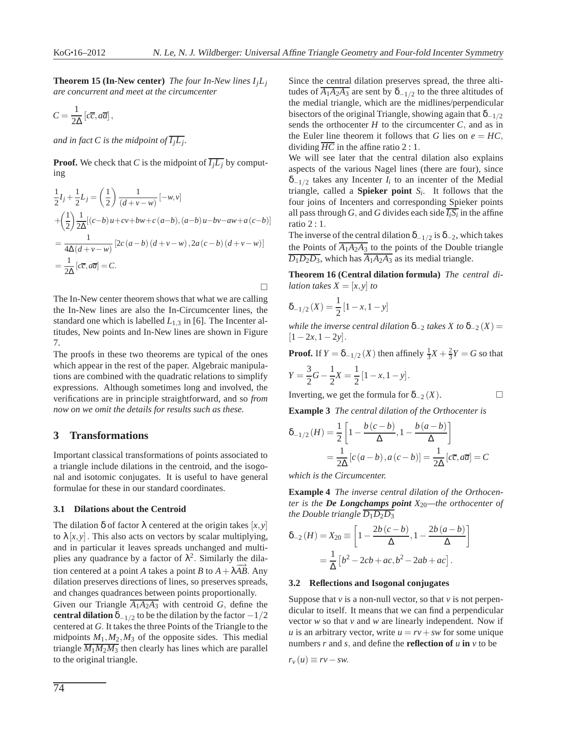**Theorem 15 (In-New center)** *The four In-New lines*  $I_jL_j$ *are concurrent and meet at the circumcenter*

$$
C = \frac{1}{2\Delta} \left[ c\overline{c}, a\overline{a} \right],
$$

and in fact C is the midpoint of  $\overline{I_jL_j}$ .

**Proof.** We check that *C* is the midpoint of  $\overline{I_jL_j}$  by computing

$$
\frac{1}{2}I_j + \frac{1}{2}L_j = \left(\frac{1}{2}\right)\frac{1}{(d+v-w)}[-w,v] \n+ \left(\frac{1}{2}\right)\frac{1}{2\Delta}[(c-b)u + cv + bw + c(a-b), (a-b)u - bv - aw + a(c-b)] \n= \frac{1}{4\Delta(d+v-w)}[2c(a-b)(d+v-w), 2a(c-b)(d+v-w)] \n= \frac{1}{2\Delta}[c\overline{c}, a\overline{a}] = C.
$$

The In-New center theorem shows that what we are calling the In-New lines are also the In-Circumcenter lines, the standard one which is labelled  $L_{1,3}$  in [6]. The Incenter altitudes, New points and In-New lines are shown in Figure 7.

The proofs in these two theorems are typical of the ones which appear in the rest of the paper. Algebraic manipulations are combined with the quadratic relations to simplify expressions. Although sometimes long and involved, the verifications are in principle straightforward, and so *from now on we omit the details for results such as these.*

# **3 Transformations**

Important classical transformations of points associated to a triangle include dilations in the centroid, and the isogonal and isotomic conjugates. It is useful to have general formulae for these in our standard coordinates.

#### **3.1 Dilations about the Centroid**

The dilation  $\delta$  of factor  $\lambda$  centered at the origin takes [x, y] to  $\lambda[x, y]$ . This also acts on vectors by scalar multiplying, and in particular it leaves spreads unchanged and multiplies any quadrance by a factor of  $\lambda^2$ . Similarly the dilation centered at a point *A* takes a point *B* to  $A + \lambda \overrightarrow{AB}$ . Any dilation preserves directions of lines, so preserves spreads, and changes quadrances between points proportionally.

Given our Triangle  $\overline{A_1A_2A_3}$  with centroid *G*, define the **central dilation**  $\delta_{-1/2}$  to be the dilation by the factor  $-1/2$ centered at *G*. It takes the three Points of the Triangle to the midpoints  $M_1, M_2, M_3$  of the opposite sides. This medial triangle  $\overline{M_1M_2M_3}$  then clearly has lines which are parallel to the original triangle.

Since the central dilation preserves spread, the three altitudes of  $\overline{A_1A_2A_3}$  are sent by  $\delta_{-1/2}$  to the three altitudes of the medial triangle, which are the midlines/perpendicular bisectors of the original Triangle, showing again that  $\delta_{-1/2}$ sends the orthocenter  $H$  to the circumcenter  $C$ , and as in the Euler line theorem it follows that *G* lies on  $e = HC$ , dividing  $\overline{HC}$  in the affine ratio 2 : 1.

We will see later that the central dilation also explains aspects of the various Nagel lines (there are four), since  $\delta_{-1/2}$  takes any Incenter *I<sub>i</sub>* to an incenter of the Medial triangle, called a **Spieker point**  $S_i$ . It follows that the four joins of Incenters and corresponding Spieker points all pass through *G*, and *G* divides each side  $\overline{I_i S_i}$  in the affine ratio 2 : 1.

The inverse of the central dilation  $\delta_{-1/2}$  is  $\delta_{-2}$ , which takes the Points of  $\overline{A_1A_2A_3}$  to the points of the Double triangle  $\overline{D_1D_2D_3}$ , which has  $\overline{A_1A_2A_3}$  as its medial triangle.

**Theorem 16 (Central dilation formula)** *The central dilation takes*  $X = [x, y]$  *to* 

$$
\delta_{-1/2}(X) = \frac{1}{2} [1 - x, 1 - y]
$$

 $\Box$ 

*while the inverse central dilation*  $\delta_{-2}$  *takes X to*  $\delta_{-2}(X)$  =  $[1-2x, 1-2y]$ .

**Proof.** If  $Y = \delta_{-1/2}(X)$  then affinely  $\frac{1}{3}X + \frac{2}{3}Y = G$  so that

$$
Y = \frac{3}{2}G - \frac{1}{2}X = \frac{1}{2}[1 - x, 1 - y].
$$

Inverting, we get the formula for 
$$
\delta_{-2}(X)
$$
.

**Example 3** *The central dilation of the Orthocenter is*

$$
\delta_{-1/2}(H) = \frac{1}{2} \left[ 1 - \frac{b(c-b)}{\Delta}, 1 - \frac{b(a-b)}{\Delta} \right]
$$

$$
= \frac{1}{2\Delta} [c(a-b), a(c-b)] = \frac{1}{2\Delta} [c\overline{c}, a\overline{a}] = C
$$

*which is the Circumcenter.*

**Example 4** *The inverse central dilation of the Orthocenter is the De Longchamps point X*20*—the orthocenter of the Double triangle*  $\overline{D_1D_2D_3}$ 

$$
\delta_{-2}(H) = X_{20} \equiv \left[ 1 - \frac{2b(c - b)}{\Delta}, 1 - \frac{2b(a - b)}{\Delta} \right]
$$

$$
= \frac{1}{\Delta} \left[ b^2 - 2cb + ac, b^2 - 2ab + ac \right].
$$

#### **3.2 Reflections and Isogonal conjugates**

Suppose that  $\nu$  is a non-null vector, so that  $\nu$  is not perpendicular to itself. It means that we can find a perpendicular vector *w* so that *v* and *w* are linearly independent. Now if *u* is an arbitrary vector, write  $u = rv + sw$  for some unique numbers *r* and *s*, and define the **reflection of** *u* **in** *v* to be

$$
r_{v}(u)\equiv rv-sw.
$$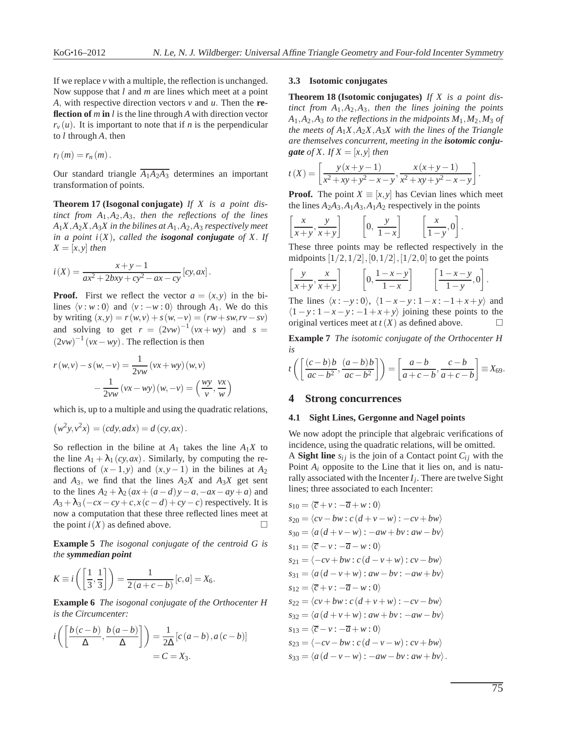If we replace *v* with a multiple, the reflection is unchanged. Now suppose that *l* and *m* are lines which meet at a point *A*, with respective direction vectors *v* and *u*. Then the **reflection of** *m* **in** *l* is the line through *A* with direction vector  $r<sub>v</sub>(u)$ . It is important to note that if *n* is the perpendicular to *l* through *A*, then

$$
r_l(m)=r_n(m).
$$

Our standard triangle  $\overline{A_1A_2A_3}$  determines an important transformation of points.

**Theorem 17 (Isogonal conjugate)** *If X is a point distinct from A*1,*A*2,*A*3, *then the reflections of the lines*  $A_1X, A_2X, A_3X$  in the bilines at  $A_1, A_2, A_3$  respectively meet *in a point i(X), called the <i>isogonal conjugate* of X. If  $X = [x, y]$  *then* 

$$
i(X) = \frac{x+y-1}{ax^2 + 2bxy + cy^2 - ax - cy} [cy, ax].
$$

**Proof.** First we reflect the vector  $a = (x, y)$  in the bilines  $\langle v : w : 0 \rangle$  and  $\langle v : -w : 0 \rangle$  through  $A_1$ . We do this by writing  $(x, y) = r(w, v) + s(w, -v) = (rw + sw, rv - sv)$ and solving to get  $r = (2vw)^{-1}(vx+wy)$  and  $s =$  $(2vw)^{-1}(vx-wy)$ . The reflection is then

$$
r(w,v) - s(w,-v) = \frac{1}{2vw} (vx+wy) (w,v)
$$

$$
-\frac{1}{2vw} (vx-wy) (w,-v) = \left(\frac{wy}{v}, \frac{vx}{w}\right)
$$

which is, up to a multiple and using the quadratic relations,

$$
(w2y, v2x) = (cdy, adx) = d (cy, ax).
$$

So reflection in the biline at  $A_1$  takes the line  $A_1X$  to the line  $A_1 + \lambda_1 (cy, ax)$ . Similarly, by computing the reflections of  $(x-1,y)$  and  $(x,y-1)$  in the bilines at  $A_2$ and  $A_3$ , we find that the lines  $A_2X$  and  $A_3X$  get sent to the lines  $A_2 + \lambda_2 (ax + (a - d)y - a, -ax - ay + a)$  and  $A_3 + \lambda_3$  ( $-cx - cy + c$ ,  $x(c - d) + cy - c$ ) respectively. It is now a computation that these three reflected lines meet at the point  $i(X)$  as defined above.

**Example 5** *The isogonal conjugate of the centroid G is the symmedian point*

$$
K \equiv i\left(\left[\frac{1}{3},\frac{1}{3}\right]\right) = \frac{1}{2\left(a+c-b\right)}\left[c,a\right] = X_6.
$$

**Example 6** *The isogonal conjugate of the Orthocenter H is the Circumcenter:*

$$
i\left(\left[\frac{b(c-b)}{\Delta}, \frac{b(a-b)}{\Delta}\right]\right) = \frac{1}{2\Delta} [c(a-b), a(c-b)]
$$
  
= C = X<sub>3</sub>.

## **3.3 Isotomic conjugates**

**Theorem 18 (Isotomic conjugates)** *If X is a point distinct from A*1,*A*2,*A*3, *then the lines joining the points*  $A_1$ , $A_2$ , $A_3$  *to the reflections in the midpoints*  $M_1$ , $M_2$ , $M_3$  *of the meets of*  $A_1X$ *,* $A_2X$ , $A_3X$  *with the lines of the Triangle are themselves concurrent, meeting in the isotomic conjugate of X*. *If X* =  $[x, y]$  *then* 

$$
t(X) = \left[ \frac{y(x+y-1)}{x^2 + xy + y^2 - x - y}, \frac{x(x+y-1)}{x^2 + xy + y^2 - x - y} \right].
$$

**Proof.** The point  $X \equiv [x, y]$  has Cevian lines which meet the lines  $A_2A_3$ ,  $A_1A_3$ ,  $A_1A_2$  respectively in the points

$$
\left[\frac{x}{x+y}, \frac{y}{x+y}\right] \qquad \left[0, \frac{y}{1-x}\right] \qquad \left[\frac{x}{1-y}, 0\right]
$$

These three points may be reflected respectively in the midpoints  $[1/2, 1/2]$ ,  $[0, 1/2]$ ,  $[1/2, 0]$  to get the points

.

$$
\left[\frac{y}{x+y}, \frac{x}{x+y}\right] \qquad \left[0, \frac{1-x-y}{1-x}\right] \qquad \left[\frac{1-x-y}{1-y}, 0\right].
$$

The lines  $\langle x : -y : 0 \rangle$ ,  $\langle 1 - x - y : 1 - x : -1 + x + y \rangle$  and  $\langle 1 - y : 1 - x - y : -1 + x + y \rangle$  joining these points to the original vertices meet at  $t(X)$  as defined above.

**Example 7** *The isotomic conjugate of the Orthocenter H is*

$$
t\left(\left[\frac{(c-b)b}{ac-b^2},\frac{(a-b)b}{ac-b^2}\right]\right) = \left[\frac{a-b}{a+c-b},\frac{c-b}{a+c-b}\right] \equiv X_{69}.
$$

## **4 Strong concurrences**

#### **4.1 Sight Lines, Gergonne and Nagel points**

We now adopt the principle that algebraic verifications of incidence, using the quadratic relations, will be omitted. A **Sight line**  $s_{ij}$  is the join of a Contact point  $C_{ij}$  with the Point *A<sup>i</sup>* opposite to the Line that it lies on, and is naturally associated with the Incenter *I<sup>j</sup>* . There are twelve Sight lines; three associated to each Incenter:

$$
s_{10} = \langle \overline{c} + v : -\overline{a} + w : 0 \rangle
$$
  
\n
$$
s_{20} = \langle cv - bw : c(d + v - w) : -cv + bw \rangle
$$
  
\n
$$
s_{30} = \langle a(d + v - w) : -aw + bv : aw - bv \rangle
$$
  
\n
$$
s_{11} = \langle \overline{c} - v : -\overline{a} - w : 0 \rangle
$$
  
\n
$$
s_{21} = \langle -cv + bw : c(d - v + w) : cv - bw \rangle
$$
  
\n
$$
s_{31} = \langle a(d - v + w) : aw - bv : -aw + bv \rangle
$$
  
\n
$$
s_{12} = \langle \overline{c} + v : -\overline{a} - w : 0 \rangle
$$
  
\n
$$
s_{22} = \langle cv + bw : c(d + v + w) : -cv - bw \rangle
$$
  
\n
$$
s_{32} = \langle a(d + v + w) : aw + bv : -aw - bv \rangle
$$
  
\n
$$
s_{13} = \langle \overline{c} - v : -\overline{a} + w : 0 \rangle
$$
  
\n
$$
s_{23} = \langle -cv - bw : c(d - v - w) : cv + bw \rangle
$$
  
\n
$$
s_{33} = \langle a(d - v - w) : -aw - bv : aw + bv \rangle.
$$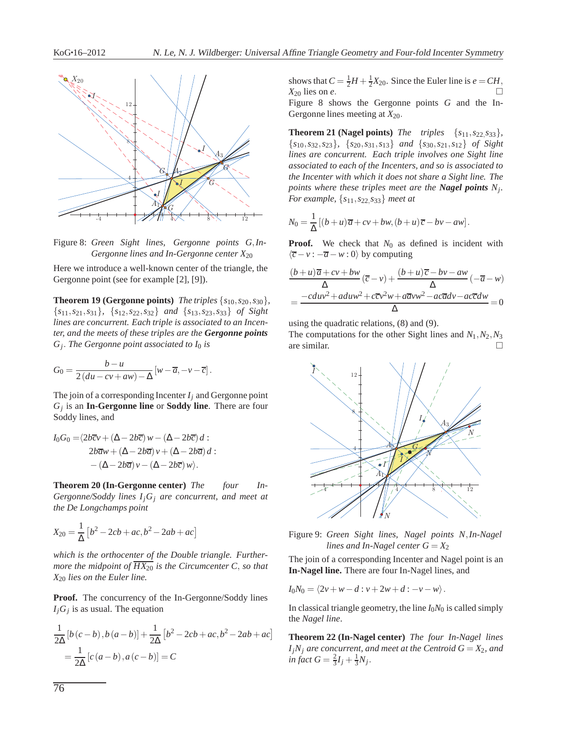

Figure 8: *Green Sight lines, Gergonne points G*,*In-Gergonne lines and In-Gergonne center X*<sup>20</sup>

Here we introduce a well-known center of the triangle, the Gergonne point (see for example [2], [9]).

**Theorem 19 (Gergonne points)** *The triples*  $\{s_{10}, s_{20}, s_{30}\}$ *,* {*s*11,*s*21,*s*31}*,* {*s*12,*s*22,*s*32} *and* {*s*13,*s*23,*s*33} *of Sight lines are concurrent. Each triple is associated to an Incenter, and the meets of these triples are the Gergonne points Gj* . *The Gergonne point associated to I*<sup>0</sup> *is*

$$
G_0 = \frac{b - u}{2(du - cv + aw) - \Delta} \left[ w - \overline{a}, -v - \overline{c} \right].
$$

The join of a corresponding Incenter  $I_i$  and Gergonne point *Gj* is an **In-Gergonne line** or **Soddy line**. There are four Soddy lines, and

$$
I_0G_0 = \langle 2b\overline{c}v + (\Delta - 2b\overline{c})w - (\Delta - 2b\overline{c})d :
$$
  

$$
2b\overline{a}w + (\Delta - 2b\overline{a})v + (\Delta - 2b\overline{a})d :
$$
  

$$
-(\Delta - 2b\overline{a})v - (\Delta - 2b\overline{c})w).
$$

**Theorem 20 (In-Gergonne center)** *The four In-Gergonne/Soddy lines IjG<sup>j</sup> are concurrent, and meet at the De Longchamps point*

$$
X_{20} = \frac{1}{\Delta} [b^2 - 2cb + ac, b^2 - 2ab + ac]
$$

*which is the orthocenter of the Double triangle. Furthermore the midpoint of*  $\overline{HX_{20}}$  *is the Circumcenter C, so that X*<sup>20</sup> *lies on the Euler line.*

**Proof.** The concurrency of the In-Gergonne/Soddy lines *IjG<sup>j</sup>* is as usual. The equation

$$
\frac{1}{2\Delta} [b (c - b), b (a - b)] + \frac{1}{2\Delta} [b^2 - 2cb + ac, b^2 - 2ab + ac]
$$
  
=  $\frac{1}{2\Delta} [c (a - b), a (c - b)] = C$ 

shows that  $C = \frac{1}{2}H + \frac{1}{2}X_{20}$ . Since the Euler line is  $e = CH$ ,  $X_{20}$  lies on  $e$ . Figure 8 shows the Gergonne points *G* and the In-Gergonne lines meeting at  $X_{20}$ .

**Theorem 21 (Nagel points)** *The triples*  $\{s_{11}, s_{22}, s_{33}\}$ *,* {*s*10,*s*32,*s*23}*,* {*s*20,*s*31,*s*13} *and* {*s*30,*s*21,*s*12} *of Sight lines are concurrent. Each triple involves one Sight line associated to each of the Incenters, and so is associated to the Incenter with which it does not share a Sight line. The points where these triples meet are the Nagel points N<sup>j</sup> . For example,* {*s*11,*s*22,*s*33} *meet at*

$$
N_0 = \frac{1}{\Delta} [(b+u)\overline{a} + cv + bw, (b+u)\overline{c} - bv - aw].
$$

**Proof.** We check that  $N_0$  as defined is incident with  $\langle \overline{c} - v : -\overline{a} - w : 0 \rangle$  by computing

$$
\frac{(b+u)\overline{a}+cv+bw}{\Delta}(\overline{c}-v)+\frac{(b+u)\overline{c}-bv-aw}{\Delta}(-\overline{a}-w)
$$

$$
=\frac{-cdw^2+aduw^2+c\overline{c}v^2w+a\overline{a}vw^2-ac\overline{a}dv-ac\overline{c}dw}{\Delta}=0
$$

using the quadratic relations, (8) and (9).

The computations for the other Sight lines and  $N_1$ ,  $N_2$ ,  $N_3$ are similar.



Figure 9: *Green Sight lines, Nagel points N*,*In-Nagel lines and In-Nagel center*  $G = X_2$ 

The join of a corresponding Incenter and Nagel point is an **In-Nagel line.** There are four In-Nagel lines, and

$$
I_0N_0=\langle 2v+w-d:v+2w+d:-v-w\rangle.
$$

In classical triangle geometry, the line  $I_0N_0$  is called simply the *Nagel line*.

**Theorem 22 (In-Nagel center)** *The four In-Nagel lines*  $I_jN_j$  *are concurrent, and meet at the Centroid G* =  $X_2$ *, and*  $\int \int f \, dA \, dA \, dA \, dA \, dA \, dA \, dA$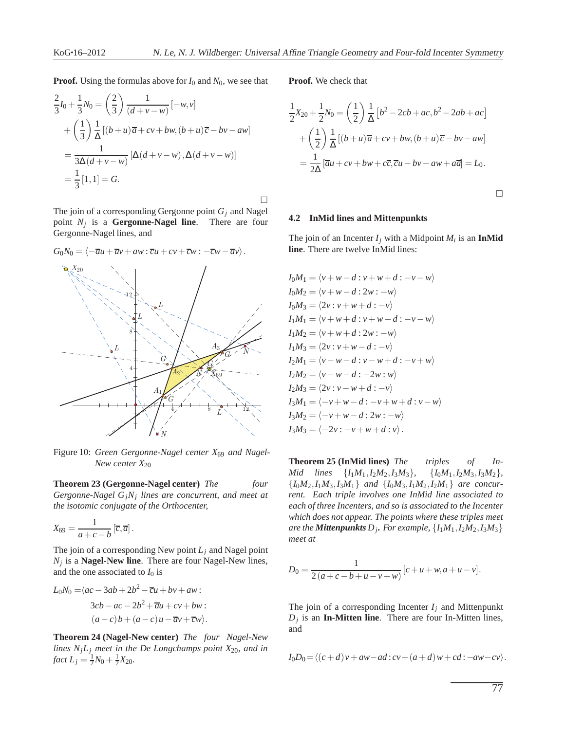**Proof.** Using the formulas above for *I*<sup>0</sup> and *N*0, we see that

$$
\frac{2}{3}I_0 + \frac{1}{3}N_0 = \left(\frac{2}{3}\right)\frac{1}{(d+v-w)}[-w,v] \n+ \left(\frac{1}{3}\right)\frac{1}{\Delta}[(b+u)\overline{a} + cv + bw, (b+u)\overline{c} - bv - aw] \n= \frac{1}{3\Delta(d+v-w)}[\Delta(d+v-w), \Delta(d+v-w)] \n= \frac{1}{3}[1,1] = G.
$$

 $\Box$ 

The join of a corresponding Gergonne point *G<sup>j</sup>* and Nagel point *N<sup>j</sup>* is a **Gergonne-Nagel line**. There are four Gergonne-Nagel lines, and

## $G_0N_0 = \langle -\overline{a}u + \overline{a}v + aw : \overline{c}u + cv + \overline{c}w : -\overline{c}w - \overline{a}v \rangle.$



Figure 10: *Green Gergonne-Nagel center X*<sup>69</sup> *and Nagel-New center X*<sup>20</sup>

**Theorem 23 (Gergonne-Nagel center)** *The four Gergonne-Nagel GjN<sup>j</sup> lines are concurrent, and meet at the isotomic conjugate of the Orthocenter,*

$$
X_{69} = \frac{1}{a+c-b} \left[\overline{c}, \overline{a}\right].
$$

The join of a corresponding New point  $L_j$  and Nagel point *Nj* is a **Nagel-New line**. There are four Nagel-New lines, and the one associated to  $I_0$  is

$$
L_0N_0 = \langle ac - 3ab + 2b^2 - \overline{c}u + bv + aw:
$$
  
\n
$$
3cb - ac - 2b^2 + \overline{a}u + cv + bw:
$$
  
\n
$$
(a - c)b + (a - c)u - \overline{a}v + \overline{c}w.
$$

**Theorem 24 (Nagel-New center)** *The four Nagel-New lines*  $N<sub>i</sub>L<sub>j</sub>$  *meet in the De Longchamps point*  $X<sub>20</sub>$ *, and in fact*  $L_j = \frac{1}{2}N_0 + \frac{1}{2}X_{20}$ *.* 

**Proof.** We check that

$$
\frac{1}{2}X_{20} + \frac{1}{2}N_0 = \left(\frac{1}{2}\right)\frac{1}{\Delta}\left[b^2 - 2cb + ac, b^2 - 2ab + ac\right]
$$

$$
+ \left(\frac{1}{2}\right)\frac{1}{\Delta}\left[(b+u)\overline{a} + cv + bw, (b+u)\overline{c} - bv - aw\right]
$$

$$
= \frac{1}{2\Delta}\left[\overline{a}u + cv + bw + c\overline{c}, \overline{c}u - bv - aw + a\overline{a}\right] = L_0.
$$

 $\Box$ 

#### **4.2 InMid lines and Mittenpunkts**

The join of an Incenter  $I_j$  with a Midpoint  $M_i$  is an **InMid line**. There are twelve InMid lines:

$$
I_0M_1 = \langle v + w - d : v + w + d : -v - w \rangle
$$
  
\n
$$
I_0M_2 = \langle v + w - d : 2w : -w \rangle
$$
  
\n
$$
I_0M_3 = \langle 2v : v + w + d : -v \rangle
$$
  
\n
$$
I_1M_1 = \langle v + w + d : v + w - d : -v - w \rangle
$$
  
\n
$$
I_1M_2 = \langle v + w + d : 2w : -w \rangle
$$
  
\n
$$
I_1M_3 = \langle 2v : v + w - d : -v \rangle
$$
  
\n
$$
I_2M_1 = \langle v - w - d : v - w + d : -v + w \rangle
$$
  
\n
$$
I_2M_2 = \langle v - w - d : -2w : w \rangle
$$
  
\n
$$
I_2M_3 = \langle 2v : v - w + d : -v \rangle
$$
  
\n
$$
I_3M_1 = \langle -v + w - d : -v + w + d : v - w \rangle
$$
  
\n
$$
I_3M_2 = \langle -v + w - d : 2w : -w \rangle
$$
  
\n
$$
I_3M_3 = \langle -2v : -v + w + d : v \rangle.
$$

**Theorem 25 (InMid lines)** *The triples of In-Mid lines*  $\{I_1M_1, I_2M_2, I_3M_3\}$ ,  $\{I_0M_1, I_2M_3, I_3M_2\}$ ,  ${I_0M_2, I_1M_3, I_3M_1}$  *and*  ${I_0M_3, I_1M_2, I_2M_1}$  *are concurrent. Each triple involves one InMid line associated to each of three Incenters, and so is associated to the Incenter which does not appear. The points where these triples meet are the Mittenpunkts D<sup>j</sup> . For example,* {*I*1*M*1,*I*2*M*2,*I*3*M*3} *meet at*

$$
D_0 = \frac{1}{2(a+c-b+u-v+w)} [c+u+w, a+u-v].
$$

The join of a corresponding Incenter  $I_j$  and Mittenpunkt *Dj* is an **In-Mitten line**. There are four In-Mitten lines, and

$$
I_0D_0 = \langle (c+d)v + aw - ad: cv + (a+d)w + cd: -aw - cv \rangle.
$$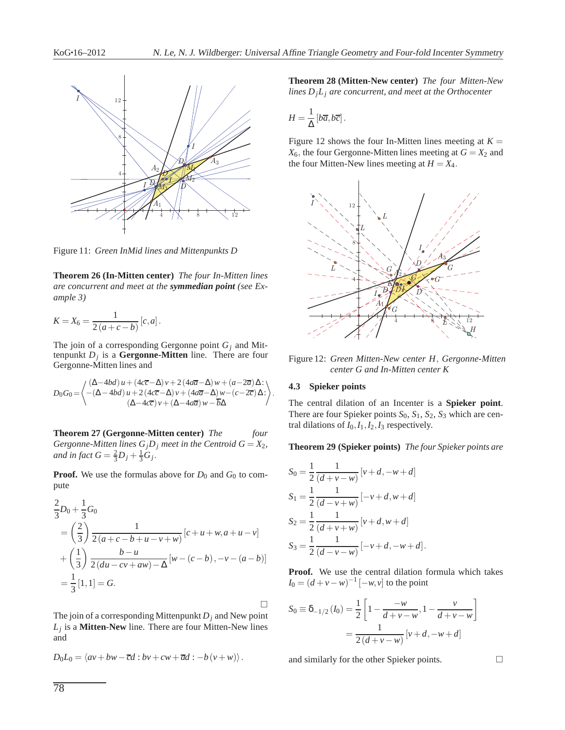

Figure 11: *Green InMid lines and Mittenpunkts D*

**Theorem 26 (In-Mitten center)** *The four In-Mitten lines are concurrent and meet at the symmedian point (see Example 3)*

$$
K = X_6 = \frac{1}{2(a+c-b)} [c, a].
$$

The join of a corresponding Gergonne point *G<sup>j</sup>* and Mittenpunkt *D<sup>j</sup>* is a **Gergonne-Mitten** line. There are four Gergonne-Mitten lines and

$$
D_0G_0\!=\!\left\langle\!\!\begin{array}{l}(\Delta\!-\!4bd)\,u\!+\!(4c\overline{c}\!-\!\Delta)\,v\!+\!2\,(4a\overline{a}\!-\!\Delta)\,w+(a\!-\!2\overline{a})\,\Delta\!:\;\\ \quad-(\Delta\!-\!4bd)\,u\!+\!2\,(4c\overline{c}\!-\!\Delta)\,v+\!(4a\overline{a}\!-\!\Delta)\,w\!-\!(c\!-\!2\overline{c})\,\Delta\!:\;\\ \quad(\Delta\!-\!4c\overline{c})\,v+(\Delta\!-\!4a\overline{a})\,w\!-\!\overline{b}\Delta\end{array}\!\!\right\rangle.
$$

**Theorem 27 (Gergonne-Mitten center)** *The four Gergonne-Mitten lines*  $G_jD_j$  *meet in the Centroid G* =  $X_2$ *, and in fact*  $G = \frac{2}{3}D_j + \frac{1}{3}G_j$ .

**Proof.** We use the formulas above for  $D_0$  and  $G_0$  to compute

$$
\frac{2}{3}D_0 + \frac{1}{3}G_0
$$
\n
$$
= \left(\frac{2}{3}\right) \frac{1}{2(a+c-b+u-v+w)} [c+u+w, a+u-v]
$$
\n
$$
+ \left(\frac{1}{3}\right) \frac{b-u}{2(du-cv+aw)-\Delta} [w-(c-b), -v-(a-b)]
$$
\n
$$
= \frac{1}{3}[1,1] = G.
$$

The join of a corresponding Mittenpunkt  $D_j$  and New point *Lj* is a **Mitten**-**New** line. There are four Mitten-New lines and

$$
D_0L_0 = \langle av + bw - \overline{c}d : bv + cw + \overline{a}d : -b(v + w) \rangle.
$$

**Theorem 28 (Mitten-New center)** *The four Mitten-New lines DjL<sup>j</sup> are concurrent, and meet at the Orthocenter*

$$
H=\frac{1}{\Delta}\left[b\overline{a},b\overline{c}\right].
$$

Figure 12 shows the four In-Mitten lines meeting at  $K =$  $X_6$ , the four Gergonne-Mitten lines meeting at  $G = X_2$  and the four Mitten-New lines meeting at  $H = X_4$ .



Figure 12: *Green Mitten-New center H*, *Gergonne-Mitten center G and In-Mitten center K*

# **4.3 Spieker points**

The central dilation of an Incenter is a **Spieker point**. There are four Spieker points *S*0, *S*1, *S*2, *S*<sup>3</sup> which are central dilations of  $I_0$ ,  $I_1$ ,  $I_2$ ,  $I_3$  respectively.

**Theorem 29 (Spieker points)** *The four Spieker points are*

$$
S_0 = \frac{1}{2} \frac{1}{(d+v-w)} [v+d, -w+d]
$$
  
\n
$$
S_1 = \frac{1}{2} \frac{1}{(d-v+w)} [-v+d, w+d]
$$
  
\n
$$
S_2 = \frac{1}{2} \frac{1}{(d+v+w)} [v+d, w+d]
$$
  
\n
$$
S_3 = \frac{1}{2} \frac{1}{(d-v-w)} [-v+d, -w+d].
$$

**Proof.** We use the central dilation formula which takes  $I_0 = (d + v - w)^{-1} [-w, v]$  to the point

$$
S_0 \equiv \delta_{-1/2} (I_0) = \frac{1}{2} \left[ 1 - \frac{-w}{d+v-w}, 1 - \frac{v}{d+v-w} \right]
$$

$$
= \frac{1}{2(d+v-w)} [v+d, -w+d]
$$

and similarly for the other Spieker points.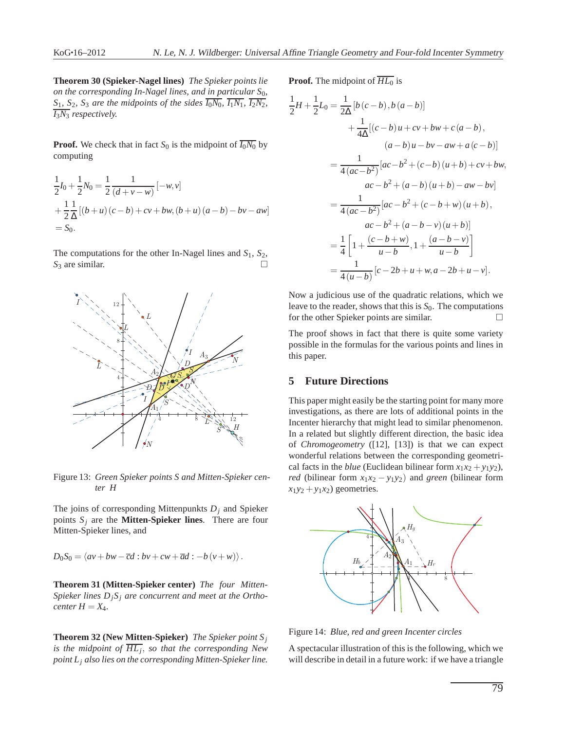1 2

**Theorem 30 (Spieker-Nagel lines)** *The Spieker points lie on the corresponding In-Nagel lines, and in particular*  $S_0$ *,*  $S_1$ *,*  $S_2$ *,*  $S_3$  *are the midpoints of the sides*  $\overline{I_0N_0}$ *,*  $\overline{I_1N_1}$ *,*  $\overline{I_2N_2}$ *, I*3*N*<sup>3</sup> *respectively.*

**Proof.** We check that in fact  $S_0$  is the midpoint of  $\overline{I_0N_0}$  by computing

$$
\frac{1}{2}I_0 + \frac{1}{2}N_0 = \frac{1}{2}\frac{1}{(d+v-w)}[-w,v] \n+ \frac{1}{2}\frac{1}{\Delta}[(b+u)(c-b) + cv + bw, (b+u)(a-b) - bv - aw] \n= S_0.
$$

The computations for the other In-Nagel lines and *S*1, *S*2,  $S_3$  are similar.



Figure 13: *Green Spieker points S and Mitten-Spieker center H*

The joins of corresponding Mittenpunkts *D<sup>j</sup>* and Spieker points  $S_i$  are the **Mitten-Spieker lines**. There are four Mitten-Spieker lines, and

$$
D_0S_0 = \langle av + bw - \overline{c}d : bv + cw + \overline{a}d : -b(v + w) \rangle.
$$

**Theorem 31 (Mitten-Spieker center)** *The four Mitten-Spieker lines DjS<sup>j</sup> are concurrent and meet at the Orthocenter*  $H = X_4$ *.* 

**Theorem 32 (New Mitten-Spieker)** *The Spieker point S<sup>j</sup> is the midpoint of HL<sup>j</sup>* , *so that the corresponding New point L<sup>j</sup> also lies on the corresponding Mitten-Spieker line.* **Proof.** The midpoint of  $\overline{HL_0}$  is

$$
H + \frac{1}{2}L_0 = \frac{1}{2\Delta} [b(c - b), b(a - b)]
$$
  
+  $\frac{1}{4\Delta} [(c - b)u + cv + bw + c(a - b),$   
(a - b)u - bv - aw + a(c - b)]  
=  $\frac{1}{4(ac - b^2)} [ac - b^2 + (c - b)(u + b) + cv + bw,$   
 $ac - b^2 + (a - b)(u + b) - aw - bv]$   
=  $\frac{1}{4(ac - b^2)} [ac - b^2 + (c - b + w)(u + b),$   
 $ac - b^2 + (a - b - v)(u + b)]$   
=  $\frac{1}{4} \left[ 1 + \frac{(c - b + w)}{u - b}, 1 + \frac{(a - b - v)}{u - b} \right]$   
=  $\frac{1}{4(u - b)} [c - 2b + u + w, a - 2b + u - v].$ 

Now a judicious use of the quadratic relations, which we leave to the reader, shows that this is *S*0. The computations for the other Spieker points are similar.  $\Box$ 

The proof shows in fact that there is quite some variety possible in the formulas for the various points and lines in this paper.

# **5 Future Directions**

This paper might easily be the starting point for many more investigations, as there are lots of additional points in the Incenter hierarchy that might lead to similar phenomenon. In a related but slightly different direction, the basic idea of *Chromogeometry* ([12], [13]) is that we can expect wonderful relations between the corresponding geometrical facts in the *blue* (Euclidean bilinear form  $x_1x_2 + y_1y_2$ ), *red* (bilinear form  $x_1x_2 - y_1y_2$ ) and *green* (bilinear form  $x_1y_2 + y_1x_2$  geometries.



Figure 14: *Blue, red and green Incenter circles*

A spectacular illustration of this is the following, which we will describe in detail in a future work: if we have a triangle